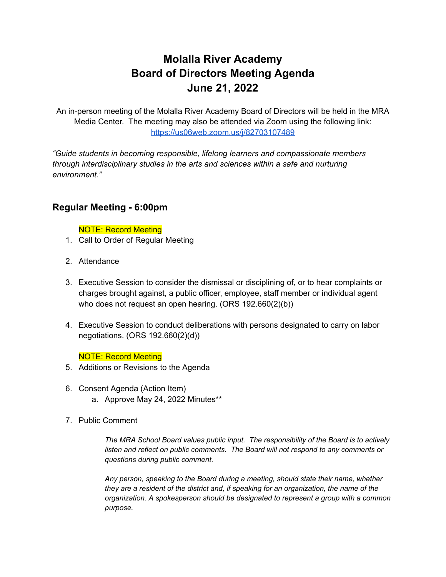# **Molalla River Academy Board of Directors Meeting Agenda June 21, 2022**

An in-person meeting of the Molalla River Academy Board of Directors will be held in the MRA Media Center. The meeting may also be attended via Zoom using the following link: <https://us06web.zoom.us/j/82703107489>

*"Guide students in becoming responsible, lifelong learners and compassionate members through interdisciplinary studies in the arts and sciences within a safe and nurturing environment."*

## **Regular Meeting - 6:00pm**

### NOTE: Record Meeting

- 1. Call to Order of Regular Meeting
- 2. Attendance
- 3. Executive Session to consider the dismissal or disciplining of, or to hear complaints or charges brought against, a public officer, employee, staff member or individual agent who does not request an open hearing. (ORS 192.660(2)(b))
- 4. Executive Session to conduct deliberations with persons designated to carry on labor negotiations. (ORS 192.660(2)(d))

## NOTE: Record Meeting

- 5. Additions or Revisions to the Agenda
- 6. Consent Agenda (Action Item)
	- a. Approve May 24, 2022 Minutes\*\*
- 7. Public Comment

*The MRA School Board values public input. The responsibility of the Board is to actively listen and reflect on public comments. The Board will not respond to any comments or questions during public comment.*

*Any person, speaking to the Board during a meeting, should state their name, whether they are a resident of the district and, if speaking for an organization, the name of the organization. A spokesperson should be designated to represent a group with a common purpose.*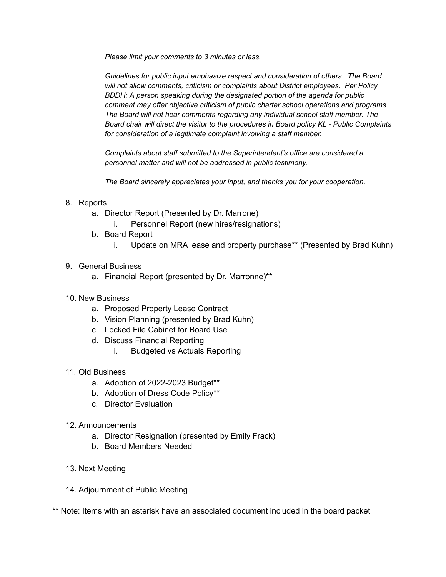*Please limit your comments to 3 minutes or less.*

*Guidelines for public input emphasize respect and consideration of others. The Board will not allow comments, criticism or complaints about District employees. Per Policy BDDH: A person speaking during the designated portion of the agenda for public comment may offer objective criticism of public charter school operations and programs. The Board will not hear comments regarding any individual school staff member. The Board chair will direct the visitor to the procedures in Board policy KL - Public Complaints for consideration of a legitimate complaint involving a staff member.*

*Complaints about staff submitted to the Superintendent's office are considered a personnel matter and will not be addressed in public testimony.*

*The Board sincerely appreciates your input, and thanks you for your cooperation.*

### 8. Reports

- a. Director Report (Presented by Dr. Marrone)
	- i. Personnel Report (new hires/resignations)
- b. Board Report
	- i. Update on MRA lease and property purchase\*\* (Presented by Brad Kuhn)
- 9. General Business
	- a. Financial Report (presented by Dr. Marronne)\*\*
- 10. New Business
	- a. Proposed Property Lease Contract
	- b. Vision Planning (presented by Brad Kuhn)
	- c. Locked File Cabinet for Board Use
	- d. Discuss Financial Reporting
		- i. Budgeted vs Actuals Reporting
- 11. Old Business
	- a. Adoption of 2022-2023 Budget\*\*
	- b. Adoption of Dress Code Policy\*\*
	- c. Director Evaluation
- 12. Announcements
	- a. Director Resignation (presented by Emily Frack)
	- b. Board Members Needed
- 13. Next Meeting
- 14. Adjournment of Public Meeting

\*\* Note: Items with an asterisk have an associated document included in the board packet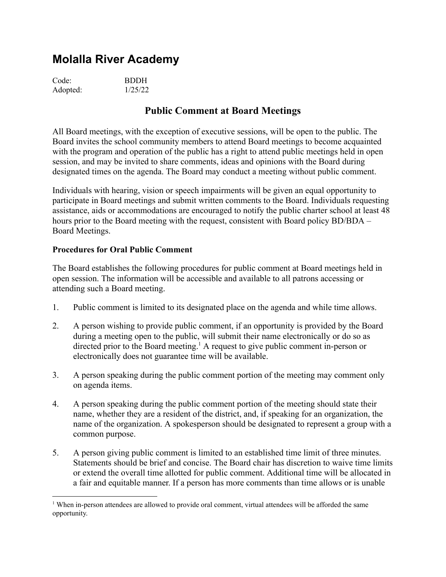| Code:    | <b>BDDH</b> |
|----------|-------------|
| Adopted: | 1/25/22     |

## **Public Comment at Board Meetings**

All Board meetings, with the exception of executive sessions, will be open to the public. The Board invites the school community members to attend Board meetings to become acquainted with the program and operation of the public has a right to attend public meetings held in open session, and may be invited to share comments, ideas and opinions with the Board during designated times on the agenda. The Board may conduct a meeting without public comment.

Individuals with hearing, vision or speech impairments will be given an equal opportunity to participate in Board meetings and submit written comments to the Board. Individuals requesting assistance, aids or accommodations are encouraged to notify the public charter school at least 48 hours prior to the Board meeting with the request, consistent with Board policy BD/BDA – Board Meetings.

## **Procedures for Oral Public Comment**

The Board establishes the following procedures for public comment at Board meetings held in open session. The information will be accessible and available to all patrons accessing or attending such a Board meeting.

- 1. Public comment is limited to its designated place on the agenda and while time allows.
- 2. A person wishing to provide public comment, if an opportunity is provided by the Board during a meeting open to the public, will submit their name electronically or do so as directed prior to the Board meeting.<sup>1</sup> A request to give public comment in-person or electronically does not guarantee time will be available.
- 3. A person speaking during the public comment portion of the meeting may comment only on agenda items.
- 4. A person speaking during the public comment portion of the meeting should state their name, whether they are a resident of the district, and, if speaking for an organization, the name of the organization. A spokesperson should be designated to represent a group with a common purpose.
- 5. A person giving public comment is limited to an established time limit of three minutes. Statements should be brief and concise. The Board chair has discretion to waive time limits or extend the overall time allotted for public comment. Additional time will be allocated in a fair and equitable manner. If a person has more comments than time allows or is unable

<sup>&</sup>lt;sup>1</sup> When in-person attendees are allowed to provide oral comment, virtual attendees will be afforded the same opportunity.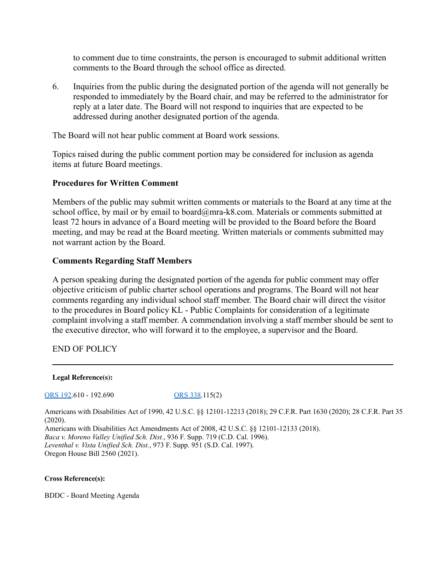to comment due to time constraints, the person is encouraged to submit additional written comments to the Board through the school office as directed.

6. Inquiries from the public during the designated portion of the agenda will not generally be responded to immediately by the Board chair, and may be referred to the administrator for reply at a later date. The Board will not respond to inquiries that are expected to be addressed during another designated portion of the agenda.

The Board will not hear public comment at Board work sessions.

Topics raised during the public comment portion may be considered for inclusion as agenda items at future Board meetings.

### **Procedures for Written Comment**

Members of the public may submit written comments or materials to the Board at any time at the school office, by mail or by email to board@mra-k8.com. Materials or comments submitted at least 72 hours in advance of a Board meeting will be provided to the Board before the Board meeting, and may be read at the Board meeting. Written materials or comments submitted may not warrant action by the Board.

### **Comments Regarding Staff Members**

A person speaking during the designated portion of the agenda for public comment may offer objective criticism of public charter school operations and programs. The Board will not hear comments regarding any individual school staff member. The Board chair will direct the visitor to the procedures in Board policy KL - Public Complaints for consideration of a legitimate complaint involving a staff member. A commendation involving a staff member should be sent to the executive director, who will forward it to the employee, a supervisor and the Board.

END OF POLICY

**Legal Reference(s):**

[ORS](http://policy.osba.org/orsredir.asp?ors=ors-192) 192.610 - 192.690 [ORS](http://policy.osba.org/orsredir.asp?ors=ors-338) 338.115(2)

Americans with Disabilities Act of 1990, 42 U.S.C. §§ 12101-12213 (2018); 29 C.F.R. Part 1630 (2020); 28 C.F.R. Part 35 (2020).

Americans with Disabilities Act Amendments Act of 2008, 42 U.S.C. §§ 12101-12133 (2018). *Baca v. Moreno Valley Unified Sch. Dist.*, 936 F. Supp. 719 (C.D. Cal. 1996). *Leventhal v. Vista Unified Sch. Dist.*, 973 F. Supp. 951 (S.D. Cal. 1997).

Oregon House Bill 2560 (2021).

#### **Cross Reference(s):**

BDDC - Board Meeting Agenda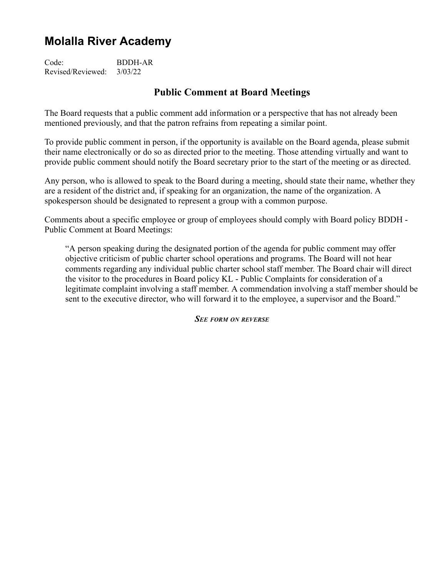Code: BDDH-AR Revised/Reviewed: 3/03/22

## **Public Comment at Board Meetings**

The Board requests that a public comment add information or a perspective that has not already been mentioned previously, and that the patron refrains from repeating a similar point.

To provide public comment in person, if the opportunity is available on the Board agenda, please submit their name electronically or do so as directed prior to the meeting. Those attending virtually and want to provide public comment should notify the Board secretary prior to the start of the meeting or as directed.

Any person, who is allowed to speak to the Board during a meeting, should state their name, whether they are a resident of the district and, if speaking for an organization, the name of the organization. A spokesperson should be designated to represent a group with a common purpose.

Comments about a specific employee or group of employees should comply with Board policy BDDH - Public Comment at Board Meetings:

"A person speaking during the designated portion of the agenda for public comment may offer objective criticism of public charter school operations and programs. The Board will not hear comments regarding any individual public charter school staff member. The Board chair will direct the visitor to the procedures in Board policy KL - Public Complaints for consideration of a legitimate complaint involving a staff member. A commendation involving a staff member should be sent to the executive director, who will forward it to the employee, a supervisor and the Board."

*SEE FORM ON REVERSE*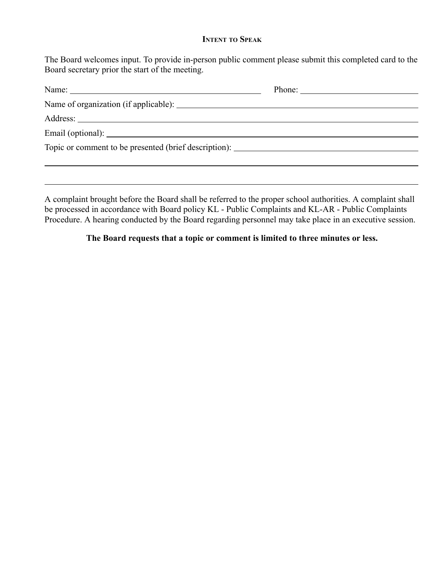### **INTENT TO SPEAK**

The Board welcomes input. To provide in-person public comment please submit this completed card to the Board secretary prior the start of the meeting.

| Name: 2008. 2008. 2010. 2010. 2010. 2010. 2010. 2010. 2010. 2010. 2010. 2010. 2010. 2010. 2010. 2010. 2010. 20 | Phone: $\frac{1}{\sqrt{1-\frac{1}{2}}\sqrt{1-\frac{1}{2}}\sqrt{1-\frac{1}{2}}\sqrt{1-\frac{1}{2}}\sqrt{1-\frac{1}{2}}\sqrt{1-\frac{1}{2}}\sqrt{1-\frac{1}{2}}\sqrt{1-\frac{1}{2}}\sqrt{1-\frac{1}{2}}\sqrt{1-\frac{1}{2}}\sqrt{1-\frac{1}{2}}\sqrt{1-\frac{1}{2}}\sqrt{1-\frac{1}{2}}\sqrt{1-\frac{1}{2}}\sqrt{1-\frac{1}{2}}\sqrt{1-\frac{1}{2}}\sqrt{1-\frac{1}{2}}\sqrt{1-\frac{1}{2}}\sqrt{1-\frac{1}{2$ |
|----------------------------------------------------------------------------------------------------------------|--------------------------------------------------------------------------------------------------------------------------------------------------------------------------------------------------------------------------------------------------------------------------------------------------------------------------------------------------------------------------------------------------------------|
|                                                                                                                |                                                                                                                                                                                                                                                                                                                                                                                                              |
|                                                                                                                |                                                                                                                                                                                                                                                                                                                                                                                                              |
|                                                                                                                |                                                                                                                                                                                                                                                                                                                                                                                                              |
|                                                                                                                |                                                                                                                                                                                                                                                                                                                                                                                                              |
|                                                                                                                |                                                                                                                                                                                                                                                                                                                                                                                                              |
|                                                                                                                |                                                                                                                                                                                                                                                                                                                                                                                                              |

A complaint brought before the Board shall be referred to the proper school authorities. A complaint shall be processed in accordance with Board policy KL - Public Complaints and KL-AR - Public Complaints Procedure. A hearing conducted by the Board regarding personnel may take place in an executive session.

## **The Board requests that a topic or comment is limited to three minutes or less.**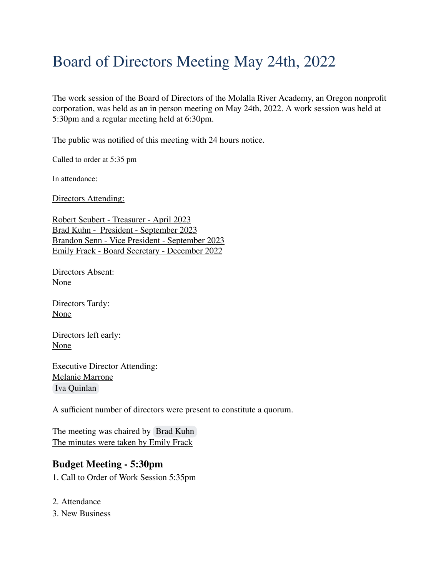# Board of Directors Meeting May 24th, 2022

The work session of the Board of Directors of the Molalla River Academy, an Oregon nonprofit corporation, was held as an in person meeting on May 24th, 2022. A work session was held at 5:30pm and a regular meeting held at 6:30pm.

The public was notified of this meeting with 24 hours notice.

Called to order at 5:35 pm

In attendance:

Directors Attending:

Robert Seubert - Treasurer - April 2023 Brad Kuhn - President - September 2023 Brandon Senn - Vice President - September 2023 Emily Frack - Board Secretary - December 2022

Directors Absent: None

Directors Tardy: None

Directors left early: None

Executive Director Attending: Melanie Marrone [Iva Quinlan](mailto:iquinlan@mra-k8.com)

A sufficient number of directors were present to constitute a quorum.

The meeting was chaired by [Brad Kuhn](mailto:bkuhn@mra-k8.com) The minutes were taken by Emily Frack

## **Budget Meeting - 5:30pm**

1. Call to Order of Work Session 5:35pm

- 2. Attendance
- 3. New Business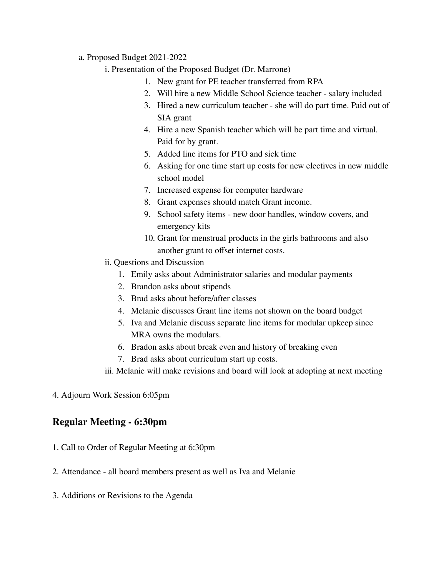- a. Proposed Budget 2021-2022
	- i. Presentation of the Proposed Budget (Dr. Marrone)
		- 1. New grant for PE teacher transferred from RPA
		- 2. Will hire a new Middle School Science teacher salary included
		- 3. Hired a new curriculum teacher she will do part time. Paid out of SIA grant
		- 4. Hire a new Spanish teacher which will be part time and virtual. Paid for by grant.
		- 5. Added line items for PTO and sick time
		- 6. Asking for one time start up costs for new electives in new middle school model
		- 7. Increased expense for computer hardware
		- 8. Grant expenses should match Grant income.
		- 9. School safety items new door handles, window covers, and emergency kits
		- 10. Grant for menstrual products in the girls bathrooms and also another grant to offset internet costs.
	- ii. Questions and Discussion
		- 1. Emily asks about Administrator salaries and modular payments
		- 2. Brandon asks about stipends
		- 3. Brad asks about before/after classes
		- 4. Melanie discusses Grant line items not shown on the board budget
		- 5. Iva and Melanie discuss separate line items for modular upkeep since MRA owns the modulars.
		- 6. Bradon asks about break even and history of breaking even
		- 7. Brad asks about curriculum start up costs.
	- iii. Melanie will make revisions and board will look at adopting at next meeting
- 4. Adjourn Work Session 6:05pm

## **Regular Meeting - 6:30pm**

- 1. Call to Order of Regular Meeting at 6:30pm
- 2. Attendance all board members present as well as Iva and Melanie
- 3. Additions or Revisions to the Agenda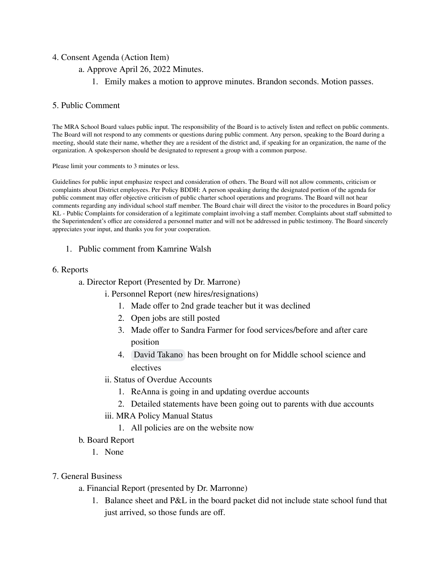### 4. Consent Agenda (Action Item)

- a. Approve April 26, 2022 Minutes.
	- 1. Emily makes a motion to approve minutes. Brandon seconds. Motion passes.

### 5. Public Comment

The MRA School Board values public input. The responsibility of the Board is to actively listen and reflect on public comments. The Board will not respond to any comments or questions during public comment. Any person, speaking to the Board during a meeting, should state their name, whether they are a resident of the district and, if speaking for an organization, the name of the organization. A spokesperson should be designated to represent a group with a common purpose.

Please limit your comments to 3 minutes or less.

Guidelines for public input emphasize respect and consideration of others. The Board will not allow comments, criticism or complaints about District employees. Per Policy BDDH: A person speaking during the designated portion of the agenda for public comment may offer objective criticism of public charter school operations and programs. The Board will not hear comments regarding any individual school staff member. The Board chair will direct the visitor to the procedures in Board policy KL - Public Complaints for consideration of a legitimate complaint involving a staff member. Complaints about staff submitted to the Superintendent's office are considered a personnel matter and will not be addressed in public testimony. The Board sincerely appreciates your input, and thanks you for your cooperation.

1. Public comment from Kamrine Walsh

### 6. Reports

- a. Director Report (Presented by Dr. Marrone)
	- i. Personnel Report (new hires/resignations)
		- 1. Made offer to 2nd grade teacher but it was declined
		- 2. Open jobs are still posted
		- 3. Made offer to Sandra Farmer for food services/before and after care position
		- 4. [David Takano](mailto:dtakano@mra-k8.com) has been brought on for Middle school science and electives
	- ii. Status of Overdue Accounts
		- 1. ReAnna is going in and updating overdue accounts
		- 2. Detailed statements have been going out to parents with due accounts
	- iii. MRA Policy Manual Status
		- 1. All policies are on the website now
- b. Board Report
	- 1. None

### 7. General Business

- a. Financial Report (presented by Dr. Marronne)
	- 1. Balance sheet and P&L in the board packet did not include state school fund that just arrived, so those funds are off.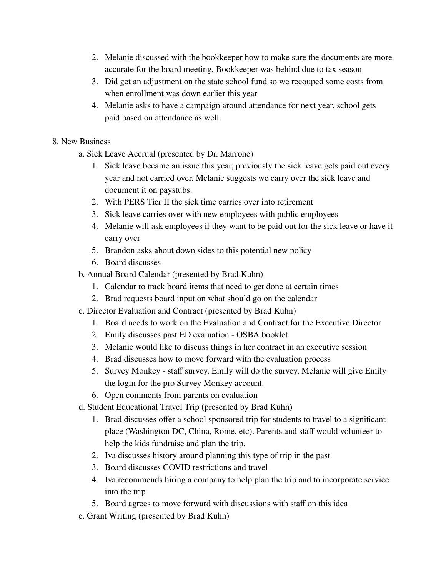- 2. Melanie discussed with the bookkeeper how to make sure the documents are more accurate for the board meeting. Bookkeeper was behind due to tax season
- 3. Did get an adjustment on the state school fund so we recouped some costs from when enrollment was down earlier this year
- 4. Melanie asks to have a campaign around attendance for next year, school gets paid based on attendance as well.
- 8. New Business
	- a. Sick Leave Accrual (presented by Dr. Marrone)
		- 1. Sick leave became an issue this year, previously the sick leave gets paid out every year and not carried over. Melanie suggests we carry over the sick leave and document it on paystubs.
		- 2. With PERS Tier II the sick time carries over into retirement
		- 3. Sick leave carries over with new employees with public employees
		- 4. Melanie will ask employees if they want to be paid out for the sick leave or have it carry over
		- 5. Brandon asks about down sides to this potential new policy
		- 6. Board discusses
	- b. Annual Board Calendar (presented by Brad Kuhn)
		- 1. Calendar to track board items that need to get done at certain times
		- 2. Brad requests board input on what should go on the calendar
	- c. Director Evaluation and Contract (presented by Brad Kuhn)
		- 1. Board needs to work on the Evaluation and Contract for the Executive Director
		- 2. Emily discusses past ED evaluation OSBA booklet
		- 3. Melanie would like to discuss things in her contract in an executive session
		- 4. Brad discusses how to move forward with the evaluation process
		- 5. Survey Monkey staff survey. Emily will do the survey. Melanie will give Emily the login for the pro Survey Monkey account.
		- 6. Open comments from parents on evaluation
	- d. Student Educational Travel Trip (presented by Brad Kuhn)
		- 1. Brad discusses offer a school sponsored trip for students to travel to a significant place (Washington DC, China, Rome, etc). Parents and staff would volunteer to help the kids fundraise and plan the trip.
		- 2. Iva discusses history around planning this type of trip in the past
		- 3. Board discusses COVID restrictions and travel
		- 4. Iva recommends hiring a company to help plan the trip and to incorporate service into the trip
		- 5. Board agrees to move forward with discussions with staff on this idea
	- e. Grant Writing (presented by Brad Kuhn)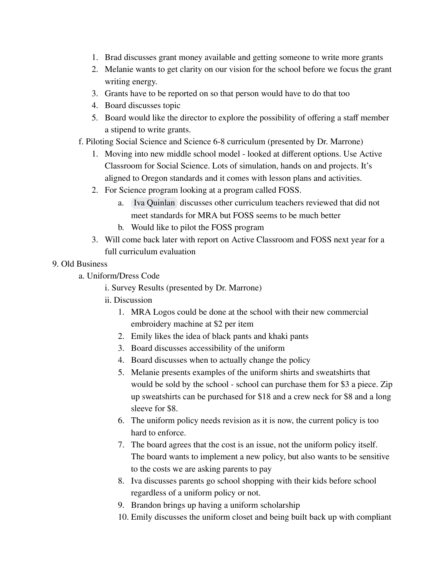- 1. Brad discusses grant money available and getting someone to write more grants
- 2. Melanie wants to get clarity on our vision for the school before we focus the grant writing energy.
- 3. Grants have to be reported on so that person would have to do that too
- 4. Board discusses topic
- 5. Board would like the director to explore the possibility of offering a staff member a stipend to write grants.
- f. Piloting Social Science and Science 6-8 curriculum (presented by Dr. Marrone)
	- 1. Moving into new middle school model looked at different options. Use Active Classroom for Social Science. Lots of simulation, hands on and projects. It's aligned to Oregon standards and it comes with lesson plans and activities.
	- 2. For Science program looking at a program called FOSS.
		- a. [Iva Quinlan](mailto:iquinlan@mra-k8.com) discusses other curriculum teachers reviewed that did not meet standards for MRA but FOSS seems to be much better
		- b. Would like to pilot the FOSS program
	- 3. Will come back later with report on Active Classroom and FOSS next year for a full curriculum evaluation

## 9. Old Business

- a. Uniform/Dress Code
	- i. Survey Results (presented by Dr. Marrone)
	- ii. Discussion
		- 1. MRA Logos could be done at the school with their new commercial embroidery machine at \$2 per item
		- 2. Emily likes the idea of black pants and khaki pants
		- 3. Board discusses accessibility of the uniform
		- 4. Board discusses when to actually change the policy
		- 5. Melanie presents examples of the uniform shirts and sweatshirts that would be sold by the school - school can purchase them for \$3 a piece. Zip up sweatshirts can be purchased for \$18 and a crew neck for \$8 and a long sleeve for \$8.
		- 6. The uniform policy needs revision as it is now, the current policy is too hard to enforce.
		- 7. The board agrees that the cost is an issue, not the uniform policy itself. The board wants to implement a new policy, but also wants to be sensitive to the costs we are asking parents to pay
		- 8. Iva discusses parents go school shopping with their kids before school regardless of a uniform policy or not.
		- 9. Brandon brings up having a uniform scholarship
		- 10. Emily discusses the uniform closet and being built back up with compliant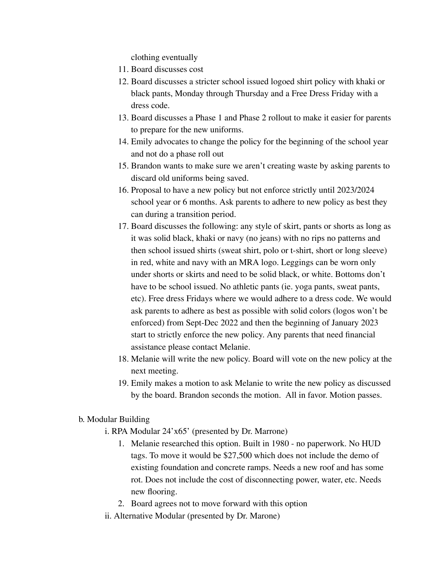clothing eventually

- 11. Board discusses cost
- 12. Board discusses a stricter school issued logoed shirt policy with khaki or black pants, Monday through Thursday and a Free Dress Friday with a dress code.
- 13. Board discusses a Phase 1 and Phase 2 rollout to make it easier for parents to prepare for the new uniforms.
- 14. Emily advocates to change the policy for the beginning of the school year and not do a phase roll out
- 15. Brandon wants to make sure we aren't creating waste by asking parents to discard old uniforms being saved.
- 16. Proposal to have a new policy but not enforce strictly until 2023/2024 school year or 6 months. Ask parents to adhere to new policy as best they can during a transition period.
- 17. Board discusses the following: any style of skirt, pants or shorts as long as it was solid black, khaki or navy (no jeans) with no rips no patterns and then school issued shirts (sweat shirt, polo or t-shirt, short or long sleeve) in red, white and navy with an MRA logo. Leggings can be worn only under shorts or skirts and need to be solid black, or white. Bottoms don't have to be school issued. No athletic pants (ie. yoga pants, sweat pants, etc). Free dress Fridays where we would adhere to a dress code. We would ask parents to adhere as best as possible with solid colors (logos won't be enforced) from Sept-Dec 2022 and then the beginning of January 2023 start to strictly enforce the new policy. Any parents that need financial assistance please contact Melanie.
- 18. Melanie will write the new policy. Board will vote on the new policy at the next meeting.
- 19. Emily makes a motion to ask Melanie to write the new policy as discussed by the board. Brandon seconds the motion. All in favor. Motion passes.
- b. Modular Building
	- i. RPA Modular 24'x65' (presented by Dr. Marrone)
		- 1. Melanie researched this option. Built in 1980 no paperwork. No HUD tags. To move it would be \$27,500 which does not include the demo of existing foundation and concrete ramps. Needs a new roof and has some rot. Does not include the cost of disconnecting power, water, etc. Needs new flooring.
		- 2. Board agrees not to move forward with this option
	- ii. Alternative Modular (presented by Dr. Marone)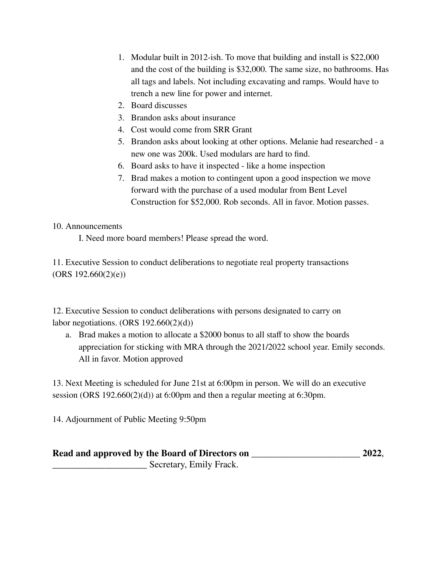- 1. Modular built in 2012-ish. To move that building and install is \$22,000 and the cost of the building is \$32,000. The same size, no bathrooms. Has all tags and labels. Not including excavating and ramps. Would have to trench a new line for power and internet.
- 2. Board discusses
- 3. Brandon asks about insurance
- 4. Cost would come from SRR Grant
- 5. Brandon asks about looking at other options. Melanie had researched a new one was 200k. Used modulars are hard to find.
- 6. Board asks to have it inspected like a home inspection
- 7. Brad makes a motion to contingent upon a good inspection we move forward with the purchase of a used modular from Bent Level Construction for \$52,000. Rob seconds. All in favor. Motion passes.

## 10. Announcements

I. Need more board members! Please spread the word.

11. Executive Session to conduct deliberations to negotiate real property transactions  $(ORS 192.660(2)(e))$ 

12. Executive Session to conduct deliberations with persons designated to carry on labor negotiations.  $(ORS 192.660(2)(d))$ 

a. Brad makes a motion to allocate a \$2000 bonus to all staff to show the boards appreciation for sticking with MRA through the 2021/2022 school year. Emily seconds. All in favor. Motion approved

13. Next Meeting is scheduled for June 21st at 6:00pm in person. We will do an executive session (ORS 192.660(2)(d)) at 6:00pm and then a regular meeting at 6:30pm.

14. Adjournment of Public Meeting 9:50pm

| 2022,<br>Read and approved by the Board of Directors on |  |  |  |  |  |
|---------------------------------------------------------|--|--|--|--|--|
| Secretary, Emily Frack.                                 |  |  |  |  |  |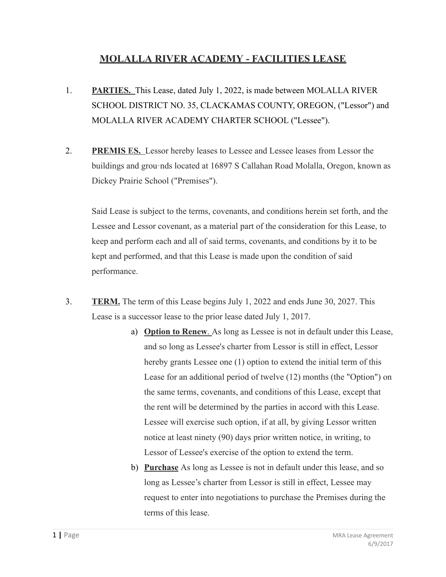# **MOLALLA RIVER ACADEMY - FACILITIES LEASE**

- 1. **PARTIES.** This Lease, dated July 1, 2022, is made between MOLALLA RIVER SCHOOL DISTRICT NO. 35, CLACKAMAS COUNTY, OREGON, ("Lessor") and MOLALLA RIVER ACADEMY CHARTER SCHOOL ("Lessee").
- 2. **PREMIS ES.** Lessor hereby leases to Lessee and Lessee leases from Lessor the buildings and grou·nds located at 16897 S Callahan Road Molalla, Oregon, known as Dickey Prairie School ("Premises").

Said Lease is subject to the terms, covenants, and conditions herein set forth, and the Lessee and Lessor covenant, as a material part of the consideration for this Lease, to keep and perform each and all of said terms, covenants, and conditions by it to be kept and performed, and that this Lease is made upon the condition of said performance.

- 3. **TERM.** The term of this Lease begins July 1, 2022 and ends June 30, 2027. This Lease is a successor lease to the prior lease dated July 1, 2017.
	- a) **Option to Renew**. As long as Lessee is not in default under this Lease, and so long as Lessee's charter from Lessor is still in effect, Lessor hereby grants Lessee one (1) option to extend the initial term of this Lease for an additional period of twelve (12) months (the "Option") on the same terms, covenants, and conditions of this Lease, except that the rent will be determined by the parties in accord with this Lease. Lessee will exercise such option, if at all, by giving Lessor written notice at least ninety (90) days prior written notice, in writing, to Lessor of Lessee's exercise of the option to extend the term.
	- b) **Purchase** As long as Lessee is not in default under this lease, and so long as Lessee's charter from Lessor is still in effect, Lessee may request to enter into negotiations to purchase the Premises during the terms of this lease.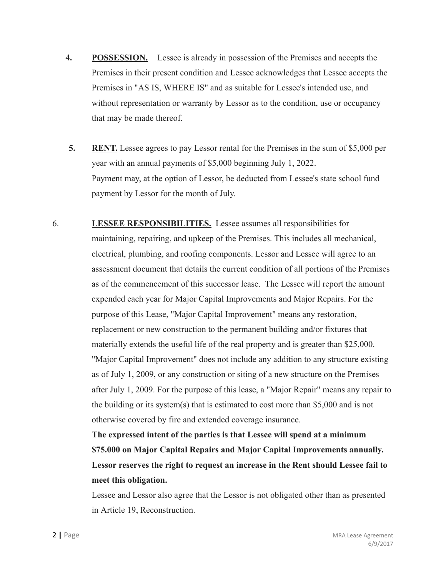- **4. POSSESSION.** Lessee is already in possession of the Premises and accepts the Premises in their present condition and Lessee acknowledges that Lessee accepts the Premises in "AS IS, WHERE IS" and as suitable for Lessee's intended use, and without representation or warranty by Lessor as to the condition, use or occupancy that may be made thereof.
- **5. RENT.** Lessee agrees to pay Lessor rental for the Premises in the sum of \$5,000 per year with an annual payments of \$5,000 beginning July 1, 2022. Payment may, at the option of Lessor, be deducted from Lessee's state school fund payment by Lessor for the month of July.
- 6. **LESSEE RESPONSIBILITIES.** Lessee assumes all responsibilities for maintaining, repairing, and upkeep of the Premises. This includes all mechanical, electrical, plumbing, and roofing components. Lessor and Lessee will agree to an assessment document that details the current condition of all portions of the Premises as of the commencement of this successor lease. The Lessee will report the amount expended each year for Major Capital Improvements and Major Repairs. For the purpose of this Lease, "Major Capital Improvement" means any restoration, replacement or new construction to the permanent building and/or fixtures that materially extends the useful life of the real property and is greater than \$25,000. "Major Capital Improvement" does not include any addition to any structure existing as of July 1, 2009, or any construction or siting of a new structure on the Premises after July 1, 2009. For the purpose of this lease, a "Major Repair" means any repair to the building or its system(s) that is estimated to cost more than \$5,000 and is not otherwise covered by fire and extended coverage insurance.

**The expressed intent of the parties is that Lessee will spend at a minimum \$75.000 on Major Capital Repairs and Major Capital Improvements annually. Lessor reserves the right to request an increase in the Rent should Lessee fail to meet this obligation.**

Lessee and Lessor also agree that the Lessor is not obligated other than as presented in Article 19, Reconstruction.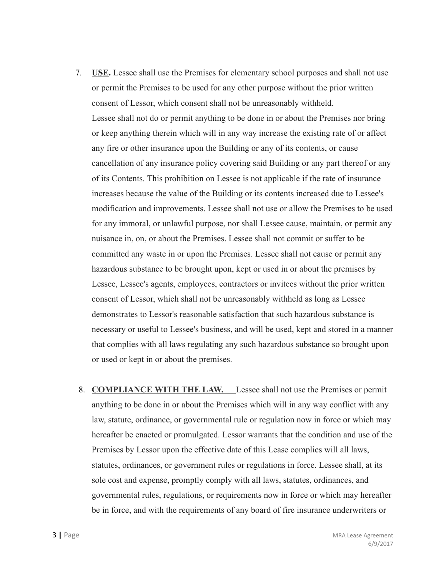- 7. **USE.** Lessee shall use the Premises for elementary school purposes and shall not use or permit the Premises to be used for any other purpose without the prior written consent of Lessor, which consent shall not be unreasonably withheld. Lessee shall not do or permit anything to be done in or about the Premises nor bring or keep anything therein which will in any way increase the existing rate of or affect any fire or other insurance upon the Building or any of its contents, or cause cancellation of any insurance policy covering said Building or any part thereof or any of its Contents. This prohibition on Lessee is not applicable if the rate of insurance increases because the value of the Building or its contents increased due to Lessee's modification and improvements. Lessee shall not use or allow the Premises to be used for any immoral, or unlawful purpose, nor shall Lessee cause, maintain, or permit any nuisance in, on, or about the Premises. Lessee shall not commit or suffer to be committed any waste in or upon the Premises. Lessee shall not cause or permit any hazardous substance to be brought upon, kept or used in or about the premises by Lessee, Lessee's agents, employees, contractors or invitees without the prior written consent of Lessor, which shall not be unreasonably withheld as long as Lessee demonstrates to Lessor's reasonable satisfaction that such hazardous substance is necessary or useful to Lessee's business, and will be used, kept and stored in a manner that complies with all laws regulating any such hazardous substance so brought upon or used or kept in or about the premises.
- 8. **COMPLIANCE WITH THE LAW.** Lessee shall not use the Premises or permit anything to be done in or about the Premises which will in any way conflict with any law, statute, ordinance, or governmental rule or regulation now in force or which may hereafter be enacted or promulgated. Lessor warrants that the condition and use of the Premises by Lessor upon the effective date of this Lease complies will all laws, statutes, ordinances, or government rules or regulations in force. Lessee shall, at its sole cost and expense, promptly comply with all laws, statutes, ordinances, and governmental rules, regulations, or requirements now in force or which may hereafter be in force, and with the requirements of any board of fire insurance underwriters or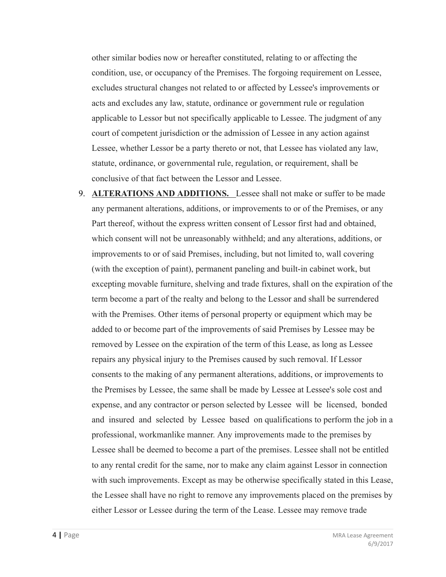other similar bodies now or hereafter constituted, relating to or affecting the condition, use, or occupancy of the Premises. The forgoing requirement on Lessee, excludes structural changes not related to or affected by Lessee's improvements or acts and excludes any law, statute, ordinance or government rule or regulation applicable to Lessor but not specifically applicable to Lessee. The judgment of any court of competent jurisdiction or the admission of Lessee in any action against Lessee, whether Lessor be a party thereto or not, that Lessee has violated any law, statute, ordinance, or governmental rule, regulation, or requirement, shall be conclusive of that fact between the Lessor and Lessee.

9. **ALTERATIONS AND ADDITIONS.** Lessee shall not make or suffer to be made any permanent alterations, additions, or improvements to or of the Premises, or any Part thereof, without the express written consent of Lessor first had and obtained, which consent will not be unreasonably withheld; and any alterations, additions, or improvements to or of said Premises, including, but not limited to, wall covering (with the exception of paint), permanent paneling and built-in cabinet work, but excepting movable furniture, shelving and trade fixtures, shall on the expiration of the term become a part of the realty and belong to the Lessor and shall be surrendered with the Premises. Other items of personal property or equipment which may be added to or become part of the improvements of said Premises by Lessee may be removed by Lessee on the expiration of the term of this Lease, as long as Lessee repairs any physical injury to the Premises caused by such removal. If Lessor consents to the making of any permanent alterations, additions, or improvements to the Premises by Lessee, the same shall be made by Lessee at Lessee's sole cost and expense, and any contractor or person selected by Lessee will be licensed, bonded and insured and selected by Lessee based on qualifications to perform the job in a professional, workmanlike manner. Any improvements made to the premises by Lessee shall be deemed to become a part of the premises. Lessee shall not be entitled to any rental credit for the same, nor to make any claim against Lessor in connection with such improvements. Except as may be otherwise specifically stated in this Lease, the Lessee shall have no right to remove any improvements placed on the premises by either Lessor or Lessee during the term of the Lease. Lessee may remove trade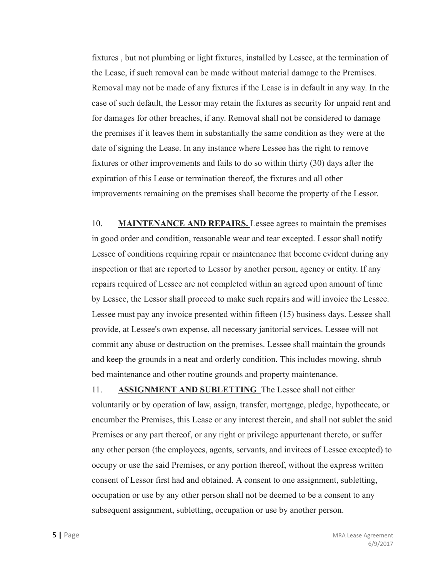fixtures , but not plumbing or light fixtures, installed by Lessee, at the termination of the Lease, if such removal can be made without material damage to the Premises. Removal may not be made of any fixtures if the Lease is in default in any way. In the case of such default, the Lessor may retain the fixtures as security for unpaid rent and for damages for other breaches, if any. Removal shall not be considered to damage the premises if it leaves them in substantially the same condition as they were at the date of signing the Lease. In any instance where Lessee has the right to remove fixtures or other improvements and fails to do so within thirty (30) days after the expiration of this Lease or termination thereof, the fixtures and all other improvements remaining on the premises shall become the property of the Lessor.

10. **MAINTENANCE AND REPAIRS.** Lessee agrees to maintain the premises in good order and condition, reasonable wear and tear excepted. Lessor shall notify Lessee of conditions requiring repair or maintenance that become evident during any inspection or that are reported to Lessor by another person, agency or entity. If any repairs required of Lessee are not completed within an agreed upon amount of time by Lessee, the Lessor shall proceed to make such repairs and will invoice the Lessee. Lessee must pay any invoice presented within fifteen (15) business days. Lessee shall provide, at Lessee's own expense, all necessary janitorial services. Lessee will not commit any abuse or destruction on the premises. Lessee shall maintain the grounds and keep the grounds in a neat and orderly condition. This includes mowing, shrub bed maintenance and other routine grounds and property maintenance.

11. **ASSIGNMENT AND SUBLETTING** The Lessee shall not either voluntarily or by operation of law, assign, transfer, mortgage, pledge, hypothecate, or encumber the Premises, this Lease or any interest therein, and shall not sublet the said Premises or any part thereof, or any right or privilege appurtenant thereto, or suffer any other person (the employees, agents, servants, and invitees of Lessee excepted) to occupy or use the said Premises, or any portion thereof, without the express written consent of Lessor first had and obtained. A consent to one assignment, subletting, occupation or use by any other person shall not be deemed to be a consent to any subsequent assignment, subletting, occupation or use by another person.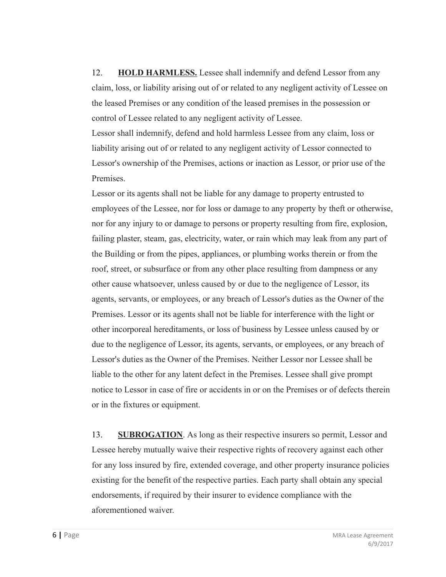12. **HOLD HARMLESS.** Lessee shall indemnify and defend Lessor from any claim, loss, or liability arising out of or related to any negligent activity of Lessee on the leased Premises or any condition of the leased premises in the possession or control of Lessee related to any negligent activity of Lessee.

Lessor shall indemnify, defend and hold harmless Lessee from any claim, loss or liability arising out of or related to any negligent activity of Lessor connected to Lessor's ownership of the Premises, actions or inaction as Lessor, or prior use of the Premises.

Lessor or its agents shall not be liable for any damage to property entrusted to employees of the Lessee, nor for loss or damage to any property by theft or otherwise, nor for any injury to or damage to persons or property resulting from fire, explosion, failing plaster, steam, gas, electricity, water, or rain which may leak from any part of the Building or from the pipes, appliances, or plumbing works therein or from the roof, street, or subsurface or from any other place resulting from dampness or any other cause whatsoever, unless caused by or due to the negligence of Lessor, its agents, servants, or employees, or any breach of Lessor's duties as the Owner of the Premises. Lessor or its agents shall not be liable for interference with the light or other incorporeal hereditaments, or loss of business by Lessee unless caused by or due to the negligence of Lessor, its agents, servants, or employees, or any breach of Lessor's duties as the Owner of the Premises. Neither Lessor nor Lessee shall be liable to the other for any latent defect in the Premises. Lessee shall give prompt notice to Lessor in case of fire or accidents in or on the Premises or of defects therein or in the fixtures or equipment.

13. **SUBROGATION**. As long as their respective insurers so permit, Lessor and Lessee hereby mutually waive their respective rights of recovery against each other for any loss insured by fire, extended coverage, and other property insurance policies existing for the benefit of the respective parties. Each party shall obtain any special endorsements, if required by their insurer to evidence compliance with the aforementioned waiver.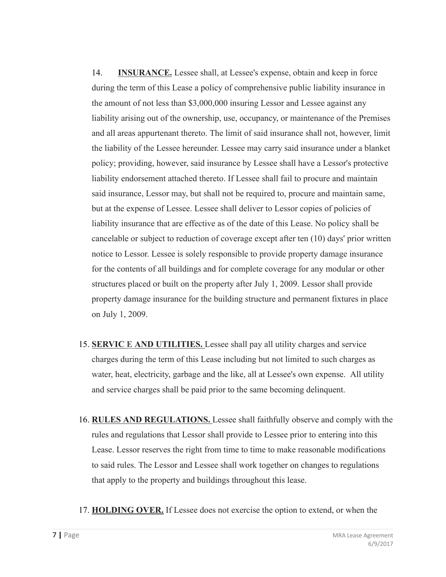14. **INSURANCE.** Lessee shall, at Lessee's expense, obtain and keep in force during the term of this Lease a policy of comprehensive public liability insurance in the amount of not less than \$3,000,000 insuring Lessor and Lessee against any liability arising out of the ownership, use, occupancy, or maintenance of the Premises and all areas appurtenant thereto. The limit of said insurance shall not, however, limit the liability of the Lessee hereunder. Lessee may carry said insurance under a blanket policy; providing, however, said insurance by Lessee shall have a Lessor's protective liability endorsement attached thereto. If Lessee shall fail to procure and maintain said insurance, Lessor may, but shall not be required to, procure and maintain same, but at the expense of Lessee. Lessee shall deliver to Lessor copies of policies of liability insurance that are effective as of the date of this Lease. No policy shall be cancelable or subject to reduction of coverage except after ten (10) days' prior written notice to Lessor. Lessee is solely responsible to provide property damage insurance for the contents of all buildings and for complete coverage for any modular or other structures placed or built on the property after July 1, 2009. Lessor shall provide property damage insurance for the building structure and permanent fixtures in place on July 1, 2009.

- 15. **SERVIC E AND UTILITIES.** Lessee shall pay all utility charges and service charges during the term of this Lease including but not limited to such charges as water, heat, electricity, garbage and the like, all at Lessee's own expense. All utility and service charges shall be paid prior to the same becoming delinquent.
- 16. **RULES AND REGULATIONS.** Lessee shall faithfully observe and comply with the rules and regulations that Lessor shall provide to Lessee prior to entering into this Lease. Lessor reserves the right from time to time to make reasonable modifications to said rules. The Lessor and Lessee shall work together on changes to regulations that apply to the property and buildings throughout this lease.
- 17. **HOLDING OVER.** If Lessee does not exercise the option to extend, or when the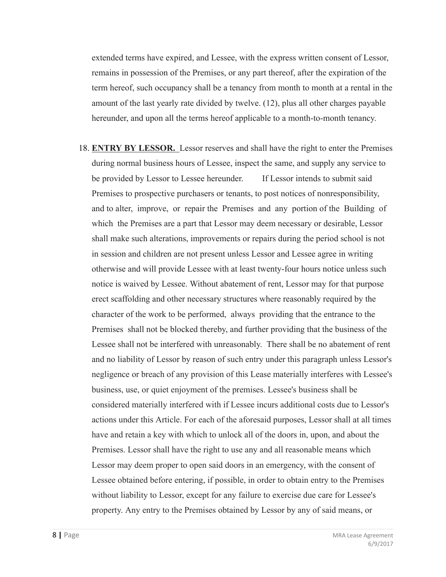extended terms have expired, and Lessee, with the express written consent of Lessor, remains in possession of the Premises, or any part thereof, after the expiration of the term hereof, such occupancy shall be a tenancy from month to month at a rental in the amount of the last yearly rate divided by twelve. (12), plus all other charges payable hereunder, and upon all the terms hereof applicable to a month-to-month tenancy.

18. **ENTRY BY LESSOR.** Lessor reserves and shall have the right to enter the Premises during normal business hours of Lessee, inspect the same, and supply any service to be provided by Lessor to Lessee hereunder. If Lessor intends to submit said Premises to prospective purchasers or tenants, to post notices of nonresponsibility, and to alter, improve, or repair the Premises and any portion of the Building of which the Premises are a part that Lessor may deem necessary or desirable, Lessor shall make such alterations, improvements or repairs during the period school is not in session and children are not present unless Lessor and Lessee agree in writing otherwise and will provide Lessee with at least twenty-four hours notice unless such notice is waived by Lessee. Without abatement of rent, Lessor may for that purpose erect scaffolding and other necessary structures where reasonably required by the character of the work to be performed, always providing that the entrance to the Premises shall not be blocked thereby, and further providing that the business of the Lessee shall not be interfered with unreasonably. There shall be no abatement of rent and no liability of Lessor by reason of such entry under this paragraph unless Lessor's negligence or breach of any provision of this Lease materially interferes with Lessee's business, use, or quiet enjoyment of the premises. Lessee's business shall be considered materially interfered with if Lessee incurs additional costs due to Lessor's actions under this Article. For each of the aforesaid purposes, Lessor shall at all times have and retain a key with which to unlock all of the doors in, upon, and about the Premises. Lessor shall have the right to use any and all reasonable means which Lessor may deem proper to open said doors in an emergency, with the consent of Lessee obtained before entering, if possible, in order to obtain entry to the Premises without liability to Lessor, except for any failure to exercise due care for Lessee's property. Any entry to the Premises obtained by Lessor by any of said means, or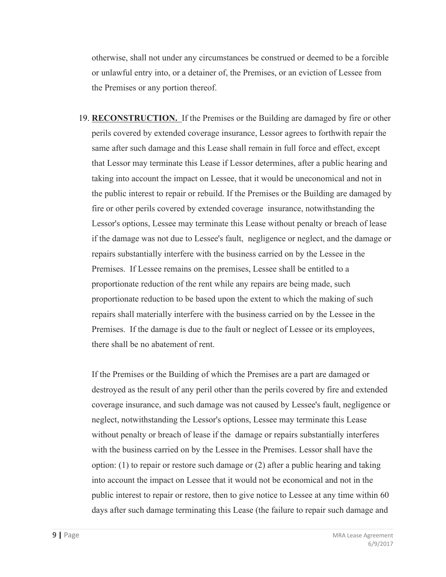otherwise, shall not under any circumstances be construed or deemed to be a forcible or unlawful entry into, or a detainer of, the Premises, or an eviction of Lessee from the Premises or any portion thereof.

19. **RECONSTRUCTION.** If the Premises or the Building are damaged by fire or other perils covered by extended coverage insurance, Lessor agrees to forthwith repair the same after such damage and this Lease shall remain in full force and effect, except that Lessor may terminate this Lease if Lessor determines, after a public hearing and taking into account the impact on Lessee, that it would be uneconomical and not in the public interest to repair or rebuild. If the Premises or the Building are damaged by fire or other perils covered by extended coverage insurance, notwithstanding the Lessor's options, Lessee may terminate this Lease without penalty or breach of lease if the damage was not due to Lessee's fault, negligence or neglect, and the damage or repairs substantially interfere with the business carried on by the Lessee in the Premises. If Lessee remains on the premises, Lessee shall be entitled to a proportionate reduction of the rent while any repairs are being made, such proportionate reduction to be based upon the extent to which the making of such repairs shall materially interfere with the business carried on by the Lessee in the Premises. If the damage is due to the fault or neglect of Lessee or its employees, there shall be no abatement of rent.

If the Premises or the Building of which the Premises are a part are damaged or destroyed as the result of any peril other than the perils covered by fire and extended coverage insurance, and such damage was not caused by Lessee's fault, negligence or neglect, notwithstanding the Lessor's options, Lessee may terminate this Lease without penalty or breach of lease if the damage or repairs substantially interferes with the business carried on by the Lessee in the Premises. Lessor shall have the option: (1) to repair or restore such damage or (2) after a public hearing and taking into account the impact on Lessee that it would not be economical and not in the public interest to repair or restore, then to give notice to Lessee at any time within 60 days after such damage terminating this Lease (the failure to repair such damage and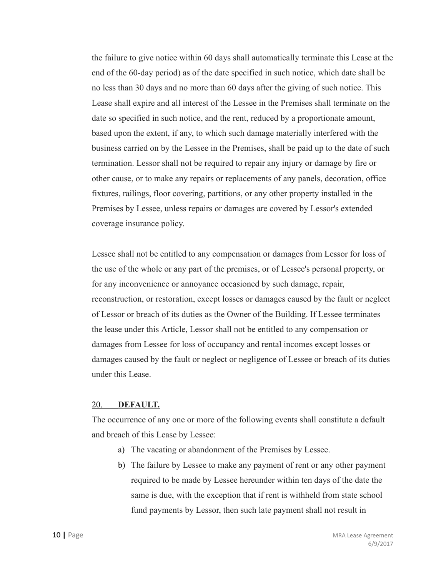the failure to give notice within 60 days shall automatically terminate this Lease at the end of the 60-day period) as of the date specified in such notice, which date shall be no less than 30 days and no more than 60 days after the giving of such notice. This Lease shall expire and all interest of the Lessee in the Premises shall terminate on the date so specified in such notice, and the rent, reduced by a proportionate amount, based upon the extent, if any, to which such damage materially interfered with the business carried on by the Lessee in the Premises, shall be paid up to the date of such termination. Lessor shall not be required to repair any injury or damage by fire or other cause, or to make any repairs or replacements of any panels, decoration, office fixtures, railings, floor covering, partitions, or any other property installed in the Premises by Lessee, unless repairs or damages are covered by Lessor's extended coverage insurance policy.

Lessee shall not be entitled to any compensation or damages from Lessor for loss of the use of the whole or any part of the premises, or of Lessee's personal property, or for any inconvenience or annoyance occasioned by such damage, repair, reconstruction, or restoration, except losses or damages caused by the fault or neglect of Lessor or breach of its duties as the Owner of the Building. If Lessee terminates the lease under this Article, Lessor shall not be entitled to any compensation or damages from Lessee for loss of occupancy and rental incomes except losses or damages caused by the fault or neglect or negligence of Lessee or breach of its duties under this Lease.

## 20. **DEFAULT.**

The occurrence of any one or more of the following events shall constitute a default and breach of this Lease by Lessee:

- a) The vacating or abandonment of the Premises by Lessee.
- b) The failure by Lessee to make any payment of rent or any other payment required to be made by Lessee hereunder within ten days of the date the same is due, with the exception that if rent is withheld from state school fund payments by Lessor, then such late payment shall not result in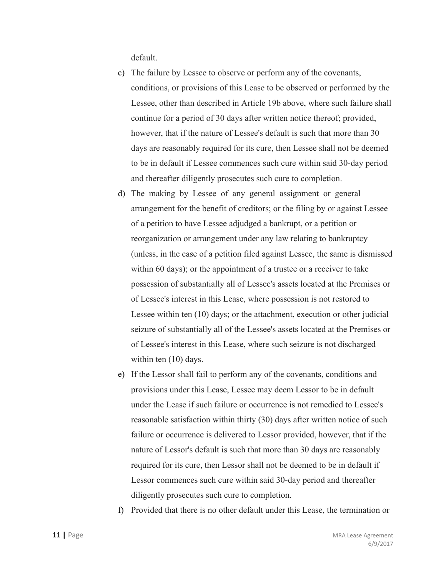default.

- c) The failure by Lessee to observe or perform any of the covenants, conditions, or provisions of this Lease to be observed or performed by the Lessee, other than described in Article 19b above, where such failure shall continue for a period of 30 days after written notice thereof; provided, however, that if the nature of Lessee's default is such that more than 30 days are reasonably required for its cure, then Lessee shall not be deemed to be in default if Lessee commences such cure within said 30-day period and thereafter diligently prosecutes such cure to completion.
- d) The making by Lessee of any general assignment or general arrangement for the benefit of creditors; or the filing by or against Lessee of a petition to have Lessee adjudged a bankrupt, or a petition or reorganization or arrangement under any law relating to bankruptcy (unless, in the case of a petition filed against Lessee, the same is dismissed within 60 days); or the appointment of a trustee or a receiver to take possession of substantially all of Lessee's assets located at the Premises or of Lessee's interest in this Lease, where possession is not restored to Lessee within ten (10) days; or the attachment, execution or other judicial seizure of substantially all of the Lessee's assets located at the Premises or of Lessee's interest in this Lease, where such seizure is not discharged within ten  $(10)$  days.
- e) If the Lessor shall fail to perform any of the covenants, conditions and provisions under this Lease, Lessee may deem Lessor to be in default under the Lease if such failure or occurrence is not remedied to Lessee's reasonable satisfaction within thirty (30) days after written notice of such failure or occurrence is delivered to Lessor provided, however, that if the nature of Lessor's default is such that more than 30 days are reasonably required for its cure, then Lessor shall not be deemed to be in default if Lessor commences such cure within said 30-day period and thereafter diligently prosecutes such cure to completion.
- f) Provided that there is no other default under this Lease, the termination or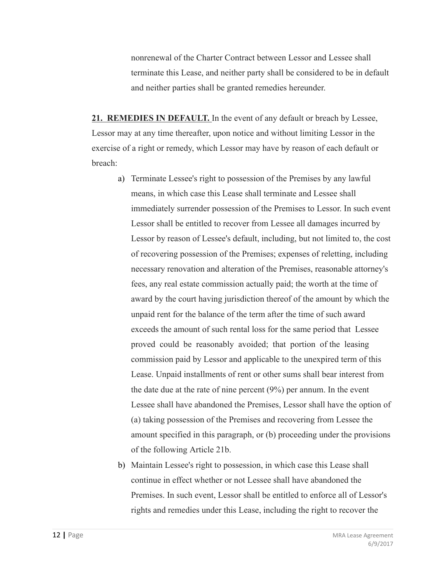nonrenewal of the Charter Contract between Lessor and Lessee shall terminate this Lease, and neither party shall be considered to be in default and neither parties shall be granted remedies hereunder.

**21. REMEDIES IN DEFAULT.** In the event of any default or breach by Lessee, Lessor may at any time thereafter, upon notice and without limiting Lessor in the exercise of a right or remedy, which Lessor may have by reason of each default or breach:

- a) Terminate Lessee's right to possession of the Premises by any lawful means, in which case this Lease shall terminate and Lessee shall immediately surrender possession of the Premises to Lessor. In such event Lessor shall be entitled to recover from Lessee all damages incurred by Lessor by reason of Lessee's default, including, but not limited to, the cost of recovering possession of the Premises; expenses of reletting, including necessary renovation and alteration of the Premises, reasonable attorney's fees, any real estate commission actually paid; the worth at the time of award by the court having jurisdiction thereof of the amount by which the unpaid rent for the balance of the term after the time of such award exceeds the amount of such rental loss for the same period that Lessee proved could be reasonably avoided; that portion of the leasing commission paid by Lessor and applicable to the unexpired term of this Lease. Unpaid installments of rent or other sums shall bear interest from the date due at the rate of nine percent (9%) per annum. In the event Lessee shall have abandoned the Premises, Lessor shall have the option of (a) taking possession of the Premises and recovering from Lessee the amount specified in this paragraph, or (b) proceeding under the provisions of the following Article 21b.
- b) Maintain Lessee's right to possession, in which case this Lease shall continue in effect whether or not Lessee shall have abandoned the Premises. In such event, Lessor shall be entitled to enforce all of Lessor's rights and remedies under this Lease, including the right to recover the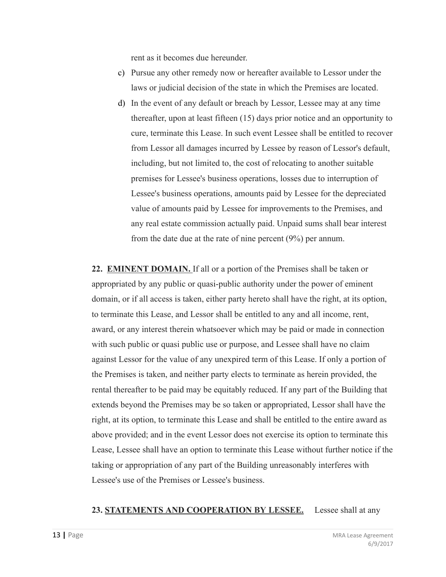rent as it becomes due hereunder.

- c) Pursue any other remedy now or hereafter available to Lessor under the laws or judicial decision of the state in which the Premises are located.
- d) In the event of any default or breach by Lessor, Lessee may at any time thereafter, upon at least fifteen (15) days prior notice and an opportunity to cure, terminate this Lease. In such event Lessee shall be entitled to recover from Lessor all damages incurred by Lessee by reason of Lessor's default, including, but not limited to, the cost of relocating to another suitable premises for Lessee's business operations, losses due to interruption of Lessee's business operations, amounts paid by Lessee for the depreciated value of amounts paid by Lessee for improvements to the Premises, and any real estate commission actually paid. Unpaid sums shall bear interest from the date due at the rate of nine percent (9%) per annum.

**22. EMINENT DOMAIN.** If all or a portion of the Premises shall be taken or appropriated by any public or quasi-public authority under the power of eminent domain, or if all access is taken, either party hereto shall have the right, at its option, to terminate this Lease, and Lessor shall be entitled to any and all income, rent, award, or any interest therein whatsoever which may be paid or made in connection with such public or quasi public use or purpose, and Lessee shall have no claim against Lessor for the value of any unexpired term of this Lease. If only a portion of the Premises is taken, and neither party elects to terminate as herein provided, the rental thereafter to be paid may be equitably reduced. If any part of the Building that extends beyond the Premises may be so taken or appropriated, Lessor shall have the right, at its option, to terminate this Lease and shall be entitled to the entire award as above provided; and in the event Lessor does not exercise its option to terminate this Lease, Lessee shall have an option to terminate this Lease without further notice if the taking or appropriation of any part of the Building unreasonably interferes with Lessee's use of the Premises or Lessee's business.

## **23. STATEMENTS AND COOPERATION BY LESSEE.** Lessee shall at any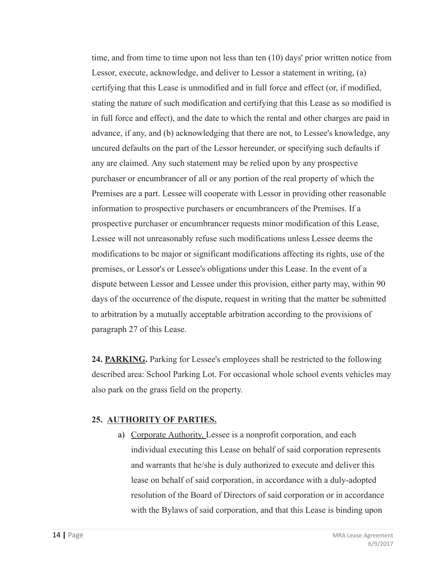time, and from time to time upon not less than ten (10) days' prior written notice from Lessor, execute, acknowledge, and deliver to Lessor a statement in writing, (a) certifying that this Lease is unmodified and in full force and effect (or, if modified, stating the nature of such modification and certifying that this Lease as so modified is in full force and effect), and the date to which the rental and other charges are paid in advance, if any, and (b) acknowledging that there are not, to Lessee's knowledge, any uncured defaults on the part of the Lessor hereunder, or specifying such defaults if any are claimed. Any such statement may be relied upon by any prospective purchaser or encumbrancer of all or any portion of the real property of which the Premises are a part. Lessee will cooperate with Lessor in providing other reasonable information to prospective purchasers or encumbrancers of the Premises. If a prospective purchaser or encumbrancer requests minor modification of this Lease, Lessee will not unreasonably refuse such modifications unless Lessee deems the modifications to be major or significant modifications affecting its rights, use of the premises, or Lessor's or Lessee's obligations under this Lease. In the event of a dispute between Lessor and Lessee under this provision, either party may, within 90 days of the occurrence of the dispute, request in writing that the matter be submitted to arbitration by a mutually acceptable arbitration according to the provisions of paragraph 27 of this Lease.

**24. PARKING.** Parking for Lessee's employees shall be restricted to the following described area: School Parking Lot. For occasional whole school events vehicles may also park on the grass field on the property.

## **25. AUTHORITY OF PARTIES.**

a) Corporate Authority. Lessee is a nonprofit corporation, and each individual executing this Lease on behalf of said corporation represents and warrants that he/she is duly authorized to execute and deliver this lease on behalf of said corporation, in accordance with a duly-adopted resolution of the Board of Directors of said corporation or in accordance with the Bylaws of said corporation, and that this Lease is binding upon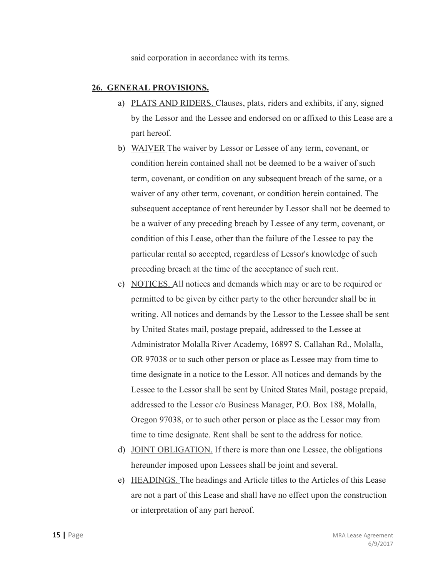said corporation in accordance with its terms.

## **26. GENERAL PROVISIONS.**

- a) PLATS AND RIDERS. Clauses, plats, riders and exhibits, if any, signed by the Lessor and the Lessee and endorsed on or affixed to this Lease are a part hereof.
- b) WAIVER The waiver by Lessor or Lessee of any term, covenant, or condition herein contained shall not be deemed to be a waiver of such term, covenant, or condition on any subsequent breach of the same, or a waiver of any other term, covenant, or condition herein contained. The subsequent acceptance of rent hereunder by Lessor shall not be deemed to be a waiver of any preceding breach by Lessee of any term, covenant, or condition of this Lease, other than the failure of the Lessee to pay the particular rental so accepted, regardless of Lessor's knowledge of such preceding breach at the time of the acceptance of such rent.
- c) NOTICES. All notices and demands which may or are to be required or permitted to be given by either party to the other hereunder shall be in writing. All notices and demands by the Lessor to the Lessee shall be sent by United States mail, postage prepaid, addressed to the Lessee at Administrator Molalla River Academy, 16897 S. Callahan Rd., Molalla, OR 97038 or to such other person or place as Lessee may from time to time designate in a notice to the Lessor. All notices and demands by the Lessee to the Lessor shall be sent by United States Mail, postage prepaid, addressed to the Lessor c/o Business Manager, P.O. Box 188, Molalla, Oregon 97038, or to such other person or place as the Lessor may from time to time designate. Rent shall be sent to the address for notice.
- d) JOINT OBLIGATION. If there is more than one Lessee, the obligations hereunder imposed upon Lessees shall be joint and several.
- e) HEADINGS. The headings and Article titles to the Articles of this Lease are not a part of this Lease and shall have no effect upon the construction or interpretation of any part hereof.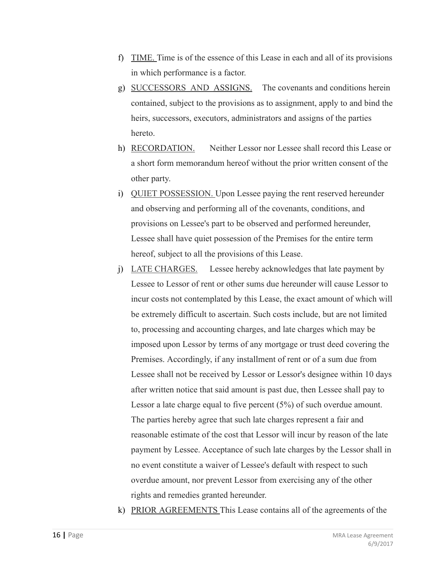- f) TIME. Time is of the essence of this Lease in each and all of its provisions in which performance is a factor.
- g) SUCCESSORS AND ASSIGNS. The covenants and conditions herein contained, subject to the provisions as to assignment, apply to and bind the heirs, successors, executors, administrators and assigns of the parties hereto.
- h) RECORDATION. Neither Lessor nor Lessee shall record this Lease or a short form memorandum hereof without the prior written consent of the other party.
- i) QUIET POSSESSION. Upon Lessee paying the rent reserved hereunder and observing and performing all of the covenants, conditions, and provisions on Lessee's part to be observed and performed hereunder, Lessee shall have quiet possession of the Premises for the entire term hereof, subject to all the provisions of this Lease.
- j) LATE CHARGES. Lessee hereby acknowledges that late payment by Lessee to Lessor of rent or other sums due hereunder will cause Lessor to incur costs not contemplated by this Lease, the exact amount of which will be extremely difficult to ascertain. Such costs include, but are not limited to, processing and accounting charges, and late charges which may be imposed upon Lessor by terms of any mortgage or trust deed covering the Premises. Accordingly, if any installment of rent or of a sum due from Lessee shall not be received by Lessor or Lessor's designee within 10 days after written notice that said amount is past due, then Lessee shall pay to Lessor a late charge equal to five percent (5%) of such overdue amount. The parties hereby agree that such late charges represent a fair and reasonable estimate of the cost that Lessor will incur by reason of the late payment by Lessee. Acceptance of such late charges by the Lessor shall in no event constitute a waiver of Lessee's default with respect to such overdue amount, nor prevent Lessor from exercising any of the other rights and remedies granted hereunder.
- k) PRIOR AGREEMENTS This Lease contains all of the agreements of the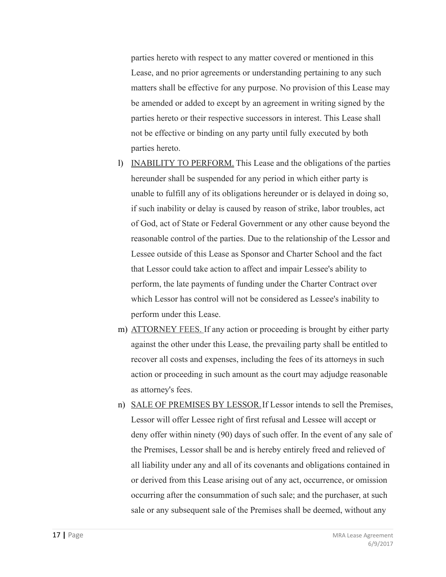parties hereto with respect to any matter covered or mentioned in this Lease, and no prior agreements or understanding pertaining to any such matters shall be effective for any purpose. No provision of this Lease may be amended or added to except by an agreement in writing signed by the parties hereto or their respective successors in interest. This Lease shall not be effective or binding on any party until fully executed by both parties hereto.

- l) INABILITY TO PERFORM. This Lease and the obligations of the parties hereunder shall be suspended for any period in which either party is unable to fulfill any of its obligations hereunder or is delayed in doing so, if such inability or delay is caused by reason of strike, labor troubles, act of God, act of State or Federal Government or any other cause beyond the reasonable control of the parties. Due to the relationship of the Lessor and Lessee outside of this Lease as Sponsor and Charter School and the fact that Lessor could take action to affect and impair Lessee's ability to perform, the late payments of funding under the Charter Contract over which Lessor has control will not be considered as Lessee's inability to perform under this Lease.
- m) ATTORNEY FEES. If any action or proceeding is brought by either party against the other under this Lease, the prevailing party shall be entitled to recover all costs and expenses, including the fees of its attorneys in such action or proceeding in such amount as the court may adjudge reasonable as attorney's fees.
- n) SALE OF PREMISES BY LESSOR.If Lessor intends to sell the Premises, Lessor will offer Lessee right of first refusal and Lessee will accept or deny offer within ninety (90) days of such offer. In the event of any sale of the Premises, Lessor shall be and is hereby entirely freed and relieved of all liability under any and all of its covenants and obligations contained in or derived from this Lease arising out of any act, occurrence, or omission occurring after the consummation of such sale; and the purchaser, at such sale or any subsequent sale of the Premises shall be deemed, without any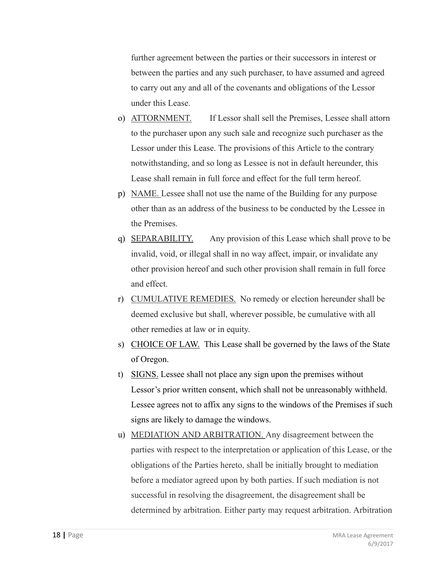further agreement between the parties or their successors in interest or between the parties and any such purchaser, to have assumed and agreed to carry out any and all of the covenants and obligations of the Lessor under this Lease.

- o) ATTORNMENT. If Lessor shall sell the Premises, Lessee shall attorn to the purchaser upon any such sale and recognize such purchaser as the Lessor under this Lease. The provisions of this Article to the contrary notwithstanding, and so long as Lessee is not in default hereunder, this Lease shall remain in full force and effect for the full term hereof.
- p) NAME. Lessee shall not use the name of the Building for any purpose other than as an address of the business to be conducted by the Lessee in the Premises.
- q) SEPARABILITY. Any provision of this Lease which shall prove to be invalid, void, or illegal shall in no way affect, impair, or invalidate any other provision hereof and such other provision shall remain in full force and effect.
- r) CUMULATIVE REMEDIES. No remedy or election hereunder shall be deemed exclusive but shall, wherever possible, be cumulative with all other remedies at law or in equity.
- s) CHOICE OF LAW. This Lease shall be governed by the laws of the State of Oregon.
- t) SIGNS. Lessee shall not place any sign upon the premises without Lessor's prior written consent, which shall not be unreasonably withheld. Lessee agrees not to affix any signs to the windows of the Premises if such signs are likely to damage the windows.
- u) MEDIATION AND ARBITRATION. Any disagreement between the parties with respect to the interpretation or application of this Lease, or the obligations of the Parties hereto, shall be initially brought to mediation before a mediator agreed upon by both parties. If such mediation is not successful in resolving the disagreement, the disagreement shall be determined by arbitration. Either party may request arbitration. Arbitration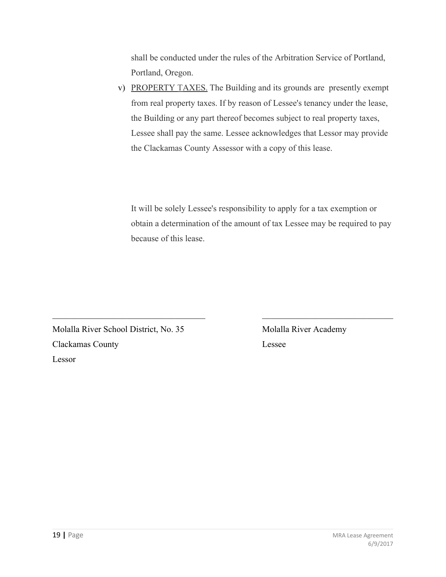shall be conducted under the rules of the Arbitration Service of Portland, Portland, Oregon.

v) PROPERTY TAXES. The Building and its grounds are presently exempt from real property taxes. If by reason of Lessee's tenancy under the lease, the Building or any part thereof becomes subject to real property taxes, Lessee shall pay the same. Lessee acknowledges that Lessor may provide the Clackamas County Assessor with a copy of this lease.

It will be solely Lessee's responsibility to apply for a tax exemption or obtain a determination of the amount of tax Lessee may be required to pay because of this lease.

Molalla River School District, No. 35 Molalla River Academy Clackamas County Lessee Lessor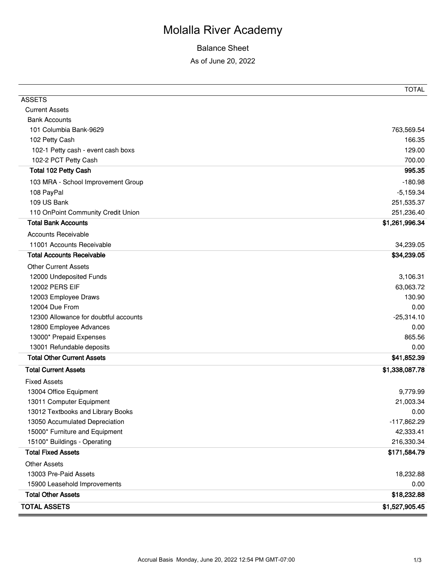## Balance Sheet

As of June 20, 2022

|                                       | <b>TOTAL</b>   |
|---------------------------------------|----------------|
| <b>ASSETS</b>                         |                |
| <b>Current Assets</b>                 |                |
| <b>Bank Accounts</b>                  |                |
| 101 Columbia Bank-9629                | 763,569.54     |
| 102 Petty Cash                        | 166.35         |
| 102-1 Petty cash - event cash boxs    | 129.00         |
| 102-2 PCT Petty Cash                  | 700.00         |
| Total 102 Petty Cash                  | 995.35         |
| 103 MRA - School Improvement Group    | $-180.98$      |
| 108 PayPal                            | $-5,159.34$    |
| 109 US Bank                           | 251,535.37     |
| 110 OnPoint Community Credit Union    | 251,236.40     |
| <b>Total Bank Accounts</b>            | \$1,261,996.34 |
| <b>Accounts Receivable</b>            |                |
| 11001 Accounts Receivable             | 34,239.05      |
| <b>Total Accounts Receivable</b>      | \$34,239.05    |
| <b>Other Current Assets</b>           |                |
| 12000 Undeposited Funds               | 3,106.31       |
| 12002 PERS EIF                        | 63,063.72      |
| 12003 Employee Draws                  | 130.90         |
| 12004 Due From                        | 0.00           |
| 12300 Allowance for doubtful accounts | $-25,314.10$   |
| 12800 Employee Advances               | 0.00           |
| 13000* Prepaid Expenses               | 865.56         |
| 13001 Refundable deposits             | 0.00           |
| <b>Total Other Current Assets</b>     | \$41,852.39    |
| <b>Total Current Assets</b>           | \$1,338,087.78 |
| <b>Fixed Assets</b>                   |                |
| 13004 Office Equipment                | 9,779.99       |
| 13011 Computer Equipment              | 21,003.34      |
| 13012 Textbooks and Library Books     | 0.00           |
| 13050 Accumulated Depreciation        | $-117,862.29$  |
| 15000* Furniture and Equipment        | 42,333.41      |
| 15100* Buildings - Operating          | 216,330.34     |
| <b>Total Fixed Assets</b>             | \$171,584.79   |
| <b>Other Assets</b>                   |                |
| 13003 Pre-Paid Assets                 | 18,232.88      |
| 15900 Leasehold Improvements          | 0.00           |
| <b>Total Other Assets</b>             | \$18,232.88    |
| <b>TOTAL ASSETS</b>                   | \$1,527,905.45 |
|                                       |                |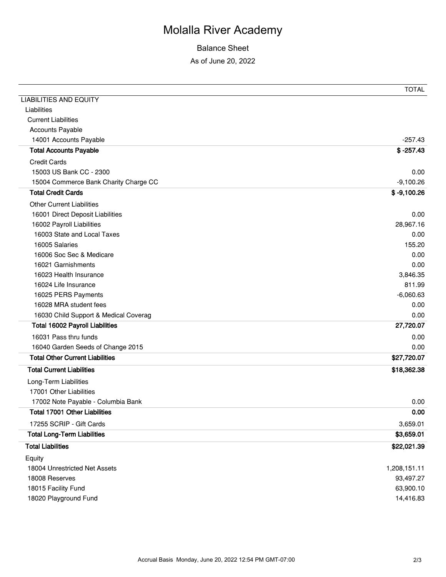# Balance Sheet

As of June 20, 2022

|                                        | <b>TOTAL</b>  |
|----------------------------------------|---------------|
| <b>LIABILITIES AND EQUITY</b>          |               |
| Liabilities                            |               |
| <b>Current Liabilities</b>             |               |
| <b>Accounts Payable</b>                |               |
| 14001 Accounts Payable                 | $-257.43$     |
| <b>Total Accounts Payable</b>          | $$ -257.43$   |
| <b>Credit Cards</b>                    |               |
| 15003 US Bank CC - 2300                | 0.00          |
| 15004 Commerce Bank Charity Charge CC  | $-9,100.26$   |
| <b>Total Credit Cards</b>              | $$ -9,100.26$ |
| <b>Other Current Liabilities</b>       |               |
| 16001 Direct Deposit Liabilities       | 0.00          |
| 16002 Payroll Liabilities              | 28,967.16     |
| 16003 State and Local Taxes            | 0.00          |
| 16005 Salaries                         | 155.20        |
| 16006 Soc Sec & Medicare               | 0.00          |
| 16021 Garnishments                     | 0.00          |
| 16023 Health Insurance                 | 3,846.35      |
| 16024 Life Insurance                   | 811.99        |
| 16025 PERS Payments                    | $-6,060.63$   |
| 16028 MRA student fees                 | 0.00          |
| 16030 Child Support & Medical Coverag  | 0.00          |
| <b>Total 16002 Payroll Liabilities</b> | 27,720.07     |
| 16031 Pass thru funds                  | 0.00          |
| 16040 Garden Seeds of Change 2015      | 0.00          |
| <b>Total Other Current Liabilities</b> | \$27,720.07   |
| <b>Total Current Liabilities</b>       | \$18,362.38   |
| Long-Term Liabilities                  |               |
| 17001 Other Liabilities                |               |
| 17002 Note Payable - Columbia Bank     | 0.00          |
| Total 17001 Other Liabilities          | 0.00          |
| 17255 SCRIP - Gift Cards               | 3,659.01      |
| <b>Total Long-Term Liabilities</b>     | \$3,659.01    |
| <b>Total Liabilities</b>               | \$22,021.39   |
| Equity                                 |               |
| 18004 Unrestricted Net Assets          | 1,208,151.11  |
| 18008 Reserves                         | 93,497.27     |
| 18015 Facility Fund                    | 63,900.10     |
| 18020 Playground Fund                  | 14,416.83     |
|                                        |               |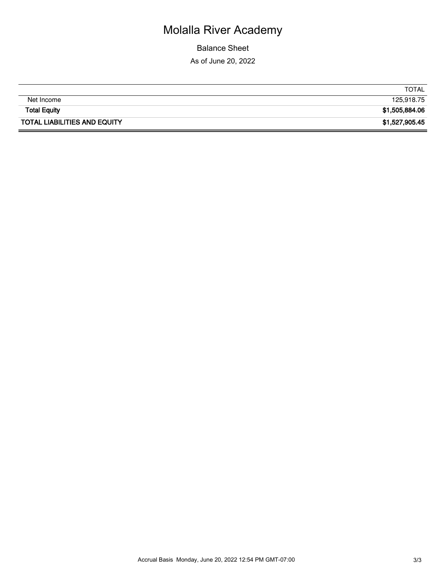Balance Sheet As of June 20, 2022

|                                     | <b>TOTAL</b>   |
|-------------------------------------|----------------|
|                                     |                |
| Net Income                          | 125,918.75     |
|                                     |                |
| <b>Total Equity</b>                 | \$1,505,884.06 |
|                                     |                |
| <b>TOTAL LIABILITIES AND EQUITY</b> | \$1,527,905.45 |
|                                     |                |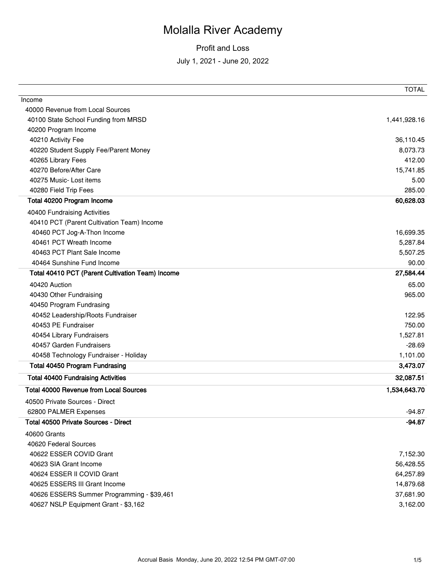|                                                  | <b>TOTAL</b> |
|--------------------------------------------------|--------------|
| Income                                           |              |
| 40000 Revenue from Local Sources                 |              |
| 40100 State School Funding from MRSD             | 1,441,928.16 |
| 40200 Program Income                             |              |
| 40210 Activity Fee                               | 36,110.45    |
| 40220 Student Supply Fee/Parent Money            | 8,073.73     |
| 40265 Library Fees                               | 412.00       |
| 40270 Before/After Care                          | 15,741.85    |
| 40275 Music- Lost items                          | 5.00         |
| 40280 Field Trip Fees                            | 285.00       |
| Total 40200 Program Income                       | 60,628.03    |
| 40400 Fundraising Activities                     |              |
| 40410 PCT (Parent Cultivation Team) Income       |              |
| 40460 PCT Jog-A-Thon Income                      | 16,699.35    |
| 40461 PCT Wreath Income                          | 5,287.84     |
| 40463 PCT Plant Sale Income                      | 5,507.25     |
| 40464 Sunshine Fund Income                       | 90.00        |
| Total 40410 PCT (Parent Cultivation Team) Income | 27,584.44    |
| 40420 Auction                                    | 65.00        |
| 40430 Other Fundraising                          | 965.00       |
| 40450 Program Fundrasing                         |              |
| 40452 Leadership/Roots Fundraiser                | 122.95       |
| 40453 PE Fundraiser                              | 750.00       |
| 40454 Library Fundraisers                        | 1,527.81     |
| 40457 Garden Fundraisers                         | $-28.69$     |
| 40458 Technology Fundraiser - Holiday            | 1,101.00     |
| <b>Total 40450 Program Fundrasing</b>            | 3,473.07     |
| <b>Total 40400 Fundraising Activities</b>        | 32,087.51    |
| <b>Total 40000 Revenue from Local Sources</b>    | 1,534,643.70 |
| 40500 Private Sources - Direct                   |              |
| 62800 PALMER Expenses                            | $-94.87$     |
| <b>Total 40500 Private Sources - Direct</b>      | -94.87       |
| 40600 Grants                                     |              |
| 40620 Federal Sources                            |              |
| 40622 ESSER COVID Grant                          | 7,152.30     |
| 40623 SIA Grant Income                           | 56,428.55    |
| 40624 ESSER II COVID Grant                       | 64,257.89    |
| 40625 ESSERS III Grant Income                    | 14,879.68    |
| 40626 ESSERS Summer Programming - \$39,461       | 37,681.90    |
| 40627 NSLP Equipment Grant - \$3,162             | 3,162.00     |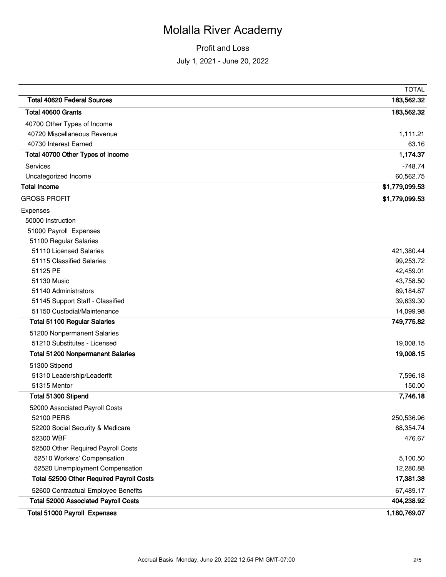|                                             | <b>TOTAL</b>   |
|---------------------------------------------|----------------|
| <b>Total 40620 Federal Sources</b>          | 183,562.32     |
| Total 40600 Grants                          | 183,562.32     |
| 40700 Other Types of Income                 |                |
| 40720 Miscellaneous Revenue                 | 1,111.21       |
| 40730 Interest Earned                       | 63.16          |
| Total 40700 Other Types of Income           | 1,174.37       |
| Services                                    | $-748.74$      |
| Uncategorized Income                        | 60,562.75      |
| <b>Total Income</b>                         | \$1,779,099.53 |
| <b>GROSS PROFIT</b>                         | \$1,779,099.53 |
| Expenses                                    |                |
| 50000 Instruction                           |                |
| 51000 Payroll Expenses                      |                |
| 51100 Regular Salaries                      |                |
| 51110 Licensed Salaries                     | 421,380.44     |
| 51115 Classified Salaries                   | 99,253.72      |
| 51125 PE                                    | 42,459.01      |
| 51130 Music                                 | 43,758.50      |
| 51140 Administrators                        | 89,184.87      |
| 51145 Support Staff - Classified            | 39,639.30      |
| 51150 Custodial/Maintenance                 | 14,099.98      |
| <b>Total 51100 Regular Salaries</b>         | 749,775.82     |
| 51200 Nonpermanent Salaries                 |                |
| 51210 Substitutes - Licensed                | 19,008.15      |
| <b>Total 51200 Nonpermanent Salaries</b>    | 19,008.15      |
| 51300 Stipend                               |                |
| 51310 Leadership/Leaderfit                  | 7,596.18       |
| 51315 Mentor                                | 150.00         |
| Total 51300 Stipend                         | 7,746.18       |
| 52000 Associated Payroll Costs              |                |
| 52100 PERS                                  | 250,536.96     |
| 52200 Social Security & Medicare            | 68,354.74      |
| 52300 WBF                                   | 476.67         |
| 52500 Other Required Payroll Costs          |                |
| 52510 Workers' Compensation                 | 5,100.50       |
| 52520 Unemployment Compensation             | 12,280.88      |
| Total 52500 Other Required Payroll Costs    | 17,381.38      |
| 52600 Contractual Employee Benefits         | 67,489.17      |
| <b>Total 52000 Associated Payroll Costs</b> | 404,238.92     |
| Total 51000 Payroll Expenses                | 1,180,769.07   |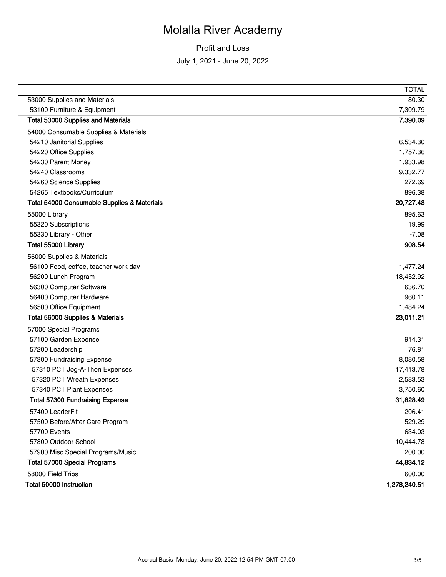|                                             | <b>TOTAL</b> |
|---------------------------------------------|--------------|
| 53000 Supplies and Materials                | 80.30        |
| 53100 Furniture & Equipment                 | 7,309.79     |
| <b>Total 53000 Supplies and Materials</b>   | 7,390.09     |
| 54000 Consumable Supplies & Materials       |              |
| 54210 Janitorial Supplies                   | 6,534.30     |
| 54220 Office Supplies                       | 1,757.36     |
| 54230 Parent Money                          | 1,933.98     |
| 54240 Classrooms                            | 9,332.77     |
| 54260 Science Supplies                      | 272.69       |
| 54265 Textbooks/Curriculum                  | 896.38       |
| Total 54000 Consumable Supplies & Materials | 20,727.48    |
| 55000 Library                               | 895.63       |
| 55320 Subscriptions                         | 19.99        |
| 55330 Library - Other                       | $-7.08$      |
| Total 55000 Library                         | 908.54       |
| 56000 Supplies & Materials                  |              |
| 56100 Food, coffee, teacher work day        | 1,477.24     |
| 56200 Lunch Program                         | 18,452.92    |
| 56300 Computer Software                     | 636.70       |
| 56400 Computer Hardware                     | 960.11       |
| 56500 Office Equipment                      | 1,484.24     |
| Total 56000 Supplies & Materials            | 23,011.21    |
| 57000 Special Programs                      |              |
| 57100 Garden Expense                        | 914.31       |
| 57200 Leadership                            | 76.81        |
| 57300 Fundraising Expense                   | 8,080.58     |
| 57310 PCT Jog-A-Thon Expenses               | 17,413.78    |
| 57320 PCT Wreath Expenses                   | 2,583.53     |
| 57340 PCT Plant Expenses                    | 3,750.60     |
| <b>Total 57300 Fundraising Expense</b>      | 31,828.49    |
| 57400 LeaderFit                             | 206.41       |
| 57500 Before/After Care Program             | 529.29       |
| 57700 Events                                | 634.03       |
| 57800 Outdoor School                        | 10,444.78    |
| 57900 Misc Special Programs/Music           | 200.00       |
| <b>Total 57000 Special Programs</b>         | 44,834.12    |
| 58000 Field Trips                           | 600.00       |
| Total 50000 Instruction                     | 1,278,240.51 |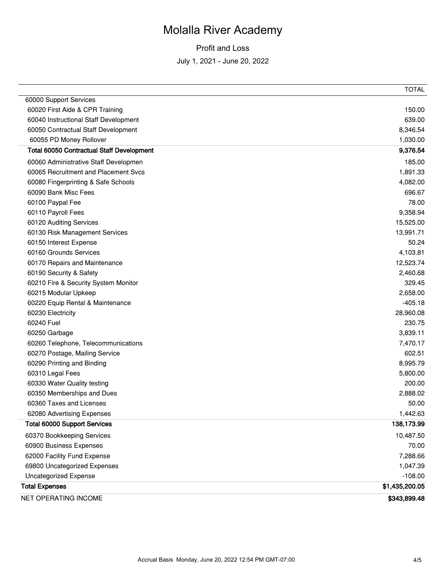|                                                  | <b>TOTAL</b>   |
|--------------------------------------------------|----------------|
| 60000 Support Services                           |                |
| 60020 First Aide & CPR Training                  | 150.00         |
| 60040 Instructional Staff Development            | 639.00         |
| 60050 Contractual Staff Development              | 8,346.54       |
| 60055 PD Money Rollover                          | 1,030.00       |
| <b>Total 60050 Contractual Staff Development</b> | 9,376.54       |
| 60060 Administrative Staff Developmen            | 185.00         |
| 60065 Recruitment and Placement Svcs             | 1,891.33       |
| 60080 Fingerprinting & Safe Schools              | 4,082.00       |
| 60090 Bank Misc Fees                             | 696.67         |
| 60100 Paypal Fee                                 | 78.00          |
| 60110 Payroll Fees                               | 9,358.94       |
| 60120 Auditing Services                          | 15,525.00      |
| 60130 Risk Management Services                   | 13,991.71      |
| 60150 Interest Expense                           | 50.24          |
| 60160 Grounds Services                           | 4,103.81       |
| 60170 Repairs and Maintenance                    | 12,523.74      |
| 60190 Security & Safety                          | 2,460.68       |
| 60210 Fire & Security System Monitor             | 329.45         |
| 60215 Modular Upkeep                             | 2,658.00       |
| 60220 Equip Rental & Maintenance                 | $-405.18$      |
| 60230 Electricity                                | 28,960.08      |
| 60240 Fuel                                       | 230.75         |
| 60250 Garbage                                    | 3,839.11       |
| 60260 Telephone, Telecommunications              | 7,470.17       |
| 60270 Postage, Mailing Service                   | 602.51         |
| 60290 Printing and Binding                       | 8,995.79       |
| 60310 Legal Fees                                 | 5,800.00       |
| 60330 Water Quality testing                      | 200.00         |
| 60350 Memberships and Dues                       | 2,888.02       |
| 60360 Taxes and Licenses                         | 50.00          |
| 62080 Advertising Expenses                       | 1,442.63       |
| <b>Total 60000 Support Services</b>              | 138,173.99     |
| 60370 Bookkeeping Services                       | 10,487.50      |
| 60900 Business Expenses                          | 70.00          |
| 62000 Facility Fund Expense                      | 7,288.66       |
| 69800 Uncategorized Expenses                     | 1,047.39       |
| <b>Uncategorized Expense</b>                     | $-108.00$      |
| <b>Total Expenses</b>                            | \$1,435,200.05 |
| NET OPERATING INCOME                             | \$343,899.48   |
|                                                  |                |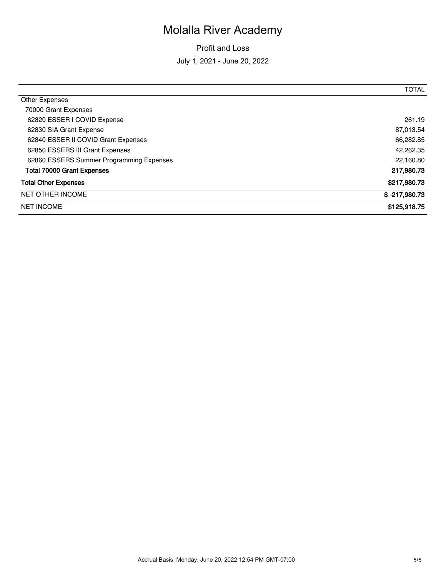|                                          | <b>TOTAL</b>    |
|------------------------------------------|-----------------|
| Other Expenses                           |                 |
| 70000 Grant Expenses                     |                 |
| 62820 ESSER I COVID Expense              | 261.19          |
| 62830 SIA Grant Expense                  | 87,013.54       |
| 62840 ESSER II COVID Grant Expenses      | 66,282.85       |
| 62850 ESSERS III Grant Expenses          | 42,262.35       |
| 62860 ESSERS Summer Programming Expenses | 22,160.80       |
| <b>Total 70000 Grant Expenses</b>        | 217,980.73      |
| <b>Total Other Expenses</b>              | \$217,980.73    |
| <b>NET OTHER INCOME</b>                  | $$ -217,980.73$ |
| <b>NET INCOME</b>                        | \$125,918.75    |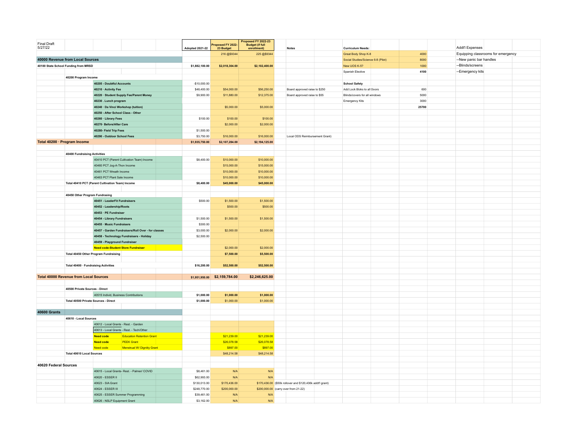| Final Draft<br>5/27/22                                 |                                                  |                                                                  |                                             | <b>Adopted 2021-22</b> | roposed FY 2022-<br>23 Budget | Proposed FY 2022-23<br><b>Budget (if full</b><br>enrollment) | <b>Notes</b>                                              |                                | <b>Curriculum Needs:</b>      |                         |       | Addt'l Expenses  |                                    |  |
|--------------------------------------------------------|--------------------------------------------------|------------------------------------------------------------------|---------------------------------------------|------------------------|-------------------------------|--------------------------------------------------------------|-----------------------------------------------------------|--------------------------------|-------------------------------|-------------------------|-------|------------------|------------------------------------|--|
|                                                        |                                                  |                                                                  |                                             |                        | 216 @\$9344                   | 225 @\$9344                                                  |                                                           |                                | Great Body Shop K-8           |                         | 4000  |                  | Equipping classrooms for emergency |  |
| 40000 Revenue from Local Sources                       |                                                  |                                                                  |                                             |                        |                               | Social Studies/Science 6-8 (Pilot)                           |                                                           | 8000                           |                               | --New panic bar handles |       |                  |                                    |  |
| 40100 State School Funding from MRSD<br>\$1,882,100.00 |                                                  | \$2,018,304.00                                                   | \$2,102,400.00                              |                        |                               | New UOS K-5?                                                 |                                                           | 1000                           | --Blinds/screens              |                         |       |                  |                                    |  |
|                                                        |                                                  |                                                                  |                                             |                        |                               |                                                              |                                                           |                                | Spanish Elective              |                         | 4100  | --Emergency kits |                                    |  |
|                                                        | 40200 Program Income                             |                                                                  |                                             |                        |                               |                                                              |                                                           |                                |                               |                         |       |                  |                                    |  |
|                                                        |                                                  | 40205 - Doubtful Accounts                                        |                                             | $-$10,000.00$          |                               |                                                              |                                                           |                                | <b>School Safety</b>          |                         |       |                  |                                    |  |
|                                                        |                                                  | 40210 · Activity Fee                                             |                                             | \$48,400.00            | \$54,000.00                   | \$56,250.00                                                  | Board approved raise to \$250                             |                                | Add Lock Bloks to all Doors   |                         | 600   |                  |                                    |  |
|                                                        |                                                  |                                                                  | 40220 · Student Supply Fee/Parent Money     | \$9,900.00             | \$11,880.00                   | \$12,375.00                                                  | Board approved raise to \$55                              |                                | Blinds/covers for all windows |                         | 5000  |                  |                                    |  |
|                                                        |                                                  | 40230 . Lunch program                                            |                                             |                        |                               |                                                              |                                                           |                                | Emergency Kits                |                         | 3000  |                  |                                    |  |
|                                                        |                                                  | 40240 · Da Vinci Workshop (tuition)                              |                                             |                        | \$5,000.00                    | \$5,000.00                                                   |                                                           |                                |                               |                         | 25700 |                  |                                    |  |
|                                                        |                                                  | 40250 - After School Class - Other                               |                                             |                        |                               |                                                              |                                                           |                                |                               |                         |       |                  |                                    |  |
|                                                        |                                                  | 40260 · Library Fees                                             |                                             | \$100.00               | \$100.00                      | \$100.00                                                     |                                                           |                                |                               |                         |       |                  |                                    |  |
|                                                        |                                                  |                                                                  |                                             |                        |                               |                                                              |                                                           |                                |                               |                         |       |                  |                                    |  |
|                                                        |                                                  | 40270 · Before/After Care                                        |                                             |                        | \$2,000.00                    | \$2,000.00                                                   |                                                           |                                |                               |                         |       |                  |                                    |  |
|                                                        |                                                  | 40280- Field Trip Fees                                           |                                             | \$1,500.00             |                               |                                                              |                                                           |                                |                               |                         |       |                  |                                    |  |
|                                                        |                                                  | 40290 - Outdoor School Fees                                      |                                             | \$3,750.00             | \$16,000.00                   | \$16,000.00                                                  |                                                           | Local ODS Reimbursement Grant) |                               |                         |       |                  |                                    |  |
|                                                        | Total 40200 · Program Income                     |                                                                  |                                             | \$1,935,750.00         | \$2,107,284.00                | \$2,194,125.00                                               |                                                           |                                |                               |                         |       |                  |                                    |  |
|                                                        |                                                  |                                                                  |                                             |                        |                               |                                                              |                                                           |                                |                               |                         |       |                  |                                    |  |
|                                                        | 40400 Fundraising Activities                     |                                                                  |                                             |                        |                               |                                                              |                                                           |                                |                               |                         |       |                  |                                    |  |
|                                                        |                                                  |                                                                  | 40410 PCT (Parent Cultivation Team) Income  | \$8,400.00             | \$10,000.00                   | \$10,000.00                                                  |                                                           |                                |                               |                         |       |                  |                                    |  |
|                                                        |                                                  | 40460 PCT Jog-A-Thon Income                                      |                                             |                        | \$15,000.00                   | \$15,000.00                                                  |                                                           |                                |                               |                         |       |                  |                                    |  |
|                                                        |                                                  | 40461 PCT Wreath Income                                          |                                             |                        | \$10,000.00                   | \$10,000.00                                                  |                                                           |                                |                               |                         |       |                  |                                    |  |
|                                                        |                                                  | 40463 PCT Plant Sale Income                                      |                                             |                        | \$10,000.00                   | \$10,000.00                                                  |                                                           |                                |                               |                         |       |                  |                                    |  |
|                                                        | Total 40410 PCT (Parent Cultivation Team) Income |                                                                  |                                             | \$8,400.00             | \$45,000.00                   | \$45,000.00                                                  |                                                           |                                |                               |                         |       |                  |                                    |  |
|                                                        |                                                  |                                                                  |                                             |                        |                               |                                                              |                                                           |                                |                               |                         |       |                  |                                    |  |
|                                                        | 40450 Other Program Fundrasing                   |                                                                  |                                             |                        |                               |                                                              |                                                           |                                |                               |                         |       |                  |                                    |  |
|                                                        |                                                  | 40451 - LeaderFit Fundraisers                                    |                                             | \$500.00               | \$1,500.00                    | \$1,500.00                                                   |                                                           |                                |                               |                         |       |                  |                                    |  |
|                                                        |                                                  | 40452 - Leadership/Roots                                         |                                             |                        | \$500.00                      | \$500.00                                                     |                                                           |                                |                               |                         |       |                  |                                    |  |
|                                                        |                                                  | 40453 · PE Fundraiser                                            |                                             |                        |                               |                                                              |                                                           |                                |                               |                         |       |                  |                                    |  |
|                                                        |                                                  | 40454 - Library Fundraisers                                      |                                             | \$1,500.00             | \$1,500.00                    | \$1,500.00                                                   |                                                           |                                |                               |                         |       |                  |                                    |  |
|                                                        |                                                  | 40455 · Music Fundraisers                                        |                                             | \$300.00               |                               |                                                              |                                                           |                                |                               |                         |       |                  |                                    |  |
|                                                        |                                                  | 40457 - Garden Fundraisers/Roll Over - for classes<br>\$3,000.00 |                                             | \$2,000,00             | \$2,000.00                    |                                                              |                                                           |                                |                               |                         |       |                  |                                    |  |
|                                                        |                                                  | 40458 - Technology Fundraisers - Holiday<br>\$2,500.00           |                                             |                        |                               |                                                              |                                                           |                                |                               |                         |       |                  |                                    |  |
|                                                        |                                                  | 40459 - Playground Fundraiser                                    |                                             |                        |                               |                                                              |                                                           |                                |                               |                         |       |                  |                                    |  |
|                                                        |                                                  | <b>Need code-Student Store Fundraiser</b>                        |                                             |                        | \$2,000.00                    | \$2,000.00                                                   |                                                           |                                |                               |                         |       |                  |                                    |  |
|                                                        | Total 40450 Other Program Fundraising            |                                                                  |                                             |                        | \$7,500.00                    | \$5,500.00                                                   |                                                           |                                |                               |                         |       |                  |                                    |  |
|                                                        |                                                  |                                                                  |                                             |                        |                               |                                                              |                                                           |                                |                               |                         |       |                  |                                    |  |
|                                                        | Total 40400 · Fundraising Activities             |                                                                  |                                             | \$16,200.00            | \$52,500.00                   | \$52,500.00                                                  |                                                           |                                |                               |                         |       |                  |                                    |  |
|                                                        |                                                  |                                                                  |                                             |                        |                               |                                                              |                                                           |                                |                               |                         |       |                  |                                    |  |
|                                                        | <b>Total 40000 Revenue from Local Sources</b>    |                                                                  |                                             |                        | \$1,951,950.00 \$2,159,784.00 | \$2,246,625.00                                               |                                                           |                                |                               |                         |       |                  |                                    |  |
|                                                        |                                                  |                                                                  |                                             |                        |                               |                                                              |                                                           |                                |                               |                         |       |                  |                                    |  |
|                                                        | 40500 Private Sources - Direct                   |                                                                  |                                             |                        |                               |                                                              |                                                           |                                |                               |                         |       |                  |                                    |  |
|                                                        |                                                  | 40515 Individ, Business Contributions                            |                                             | \$1,000.00             | \$1,000.00                    | \$1,000.00                                                   |                                                           |                                |                               |                         |       |                  |                                    |  |
|                                                        | Total 40500 Private Sources - Direct             |                                                                  |                                             | \$1,000.00             | \$1,000.00                    | \$1,000.00                                                   |                                                           |                                |                               |                         |       |                  |                                    |  |
|                                                        |                                                  |                                                                  |                                             |                        |                               |                                                              |                                                           |                                |                               |                         |       |                  |                                    |  |
| <b>40600 Grants</b>                                    |                                                  |                                                                  |                                             |                        |                               |                                                              |                                                           |                                |                               |                         |       |                  |                                    |  |
|                                                        | 40610 - Local Sources                            |                                                                  |                                             |                        |                               |                                                              |                                                           |                                |                               |                         |       |                  |                                    |  |
|                                                        |                                                  | 40612 - Local Grants - Rest. - Garden                            |                                             |                        |                               |                                                              |                                                           |                                |                               |                         |       |                  |                                    |  |
|                                                        |                                                  |                                                                  | 40613 - Local Grants - Rest. - Tech/Other   |                        |                               |                                                              |                                                           |                                |                               |                         |       |                  |                                    |  |
|                                                        |                                                  | <b>Need code</b>                                                 | <b>Education Retention Grant</b>            |                        | \$21,239.00                   | \$21,239.00                                                  |                                                           |                                |                               |                         |       |                  |                                    |  |
|                                                        |                                                  | <b>Need code</b>                                                 | <b>PEEK Grant</b>                           |                        | \$26,078.58                   | \$26,078.58                                                  |                                                           |                                |                               |                         |       |                  |                                    |  |
|                                                        |                                                  | Need code                                                        | <b>Menstrual W/ Dignitiy Grant</b>          |                        | \$897.00                      | \$897.00                                                     |                                                           |                                |                               |                         |       |                  |                                    |  |
|                                                        | <b>Total 40610 Local Sources</b>                 |                                                                  |                                             |                        | \$48,214.58                   | \$48,214.58                                                  |                                                           |                                |                               |                         |       |                  |                                    |  |
|                                                        |                                                  |                                                                  |                                             |                        |                               |                                                              |                                                           |                                |                               |                         |       |                  |                                    |  |
| 40620 Federal Sources                                  |                                                  |                                                                  |                                             |                        |                               |                                                              |                                                           |                                |                               |                         |       |                  |                                    |  |
|                                                        |                                                  |                                                                  | 40615 - Local Grants- Rest. - Palmer/ COVID | \$8,461.00             |                               | N/A                                                          |                                                           |                                |                               |                         |       |                  |                                    |  |
|                                                        |                                                  |                                                                  |                                             |                        | N/A                           |                                                              |                                                           |                                |                               |                         |       |                  |                                    |  |
|                                                        |                                                  | 40620 - ESSER II<br>40623 - SIA Grant                            |                                             | \$62,993.00            | N/A                           | $\mathsf{N}/\mathsf{A}$                                      |                                                           |                                |                               |                         |       |                  |                                    |  |
|                                                        |                                                  |                                                                  |                                             | \$130,013.00           | \$170,436.00                  |                                                              | \$170,436.00 (\$50k rollover and \$120,436k addt'l grant) |                                |                               |                         |       |                  |                                    |  |
|                                                        |                                                  | 40624 - ESSER III                                                |                                             | \$248,770.00           | \$200,000.00                  |                                                              | \$200,000.00 (carry over from 21-22)                      |                                |                               |                         |       |                  |                                    |  |
|                                                        |                                                  | 40625 - ESSER Summer Programming                                 |                                             | \$39,461.00            | N/A                           | N/A                                                          |                                                           |                                |                               |                         |       |                  |                                    |  |
|                                                        |                                                  | 40626 - NSLP Equipment Grant                                     |                                             | \$3,162.00             | N/A                           | N/A                                                          |                                                           |                                |                               |                         |       |                  |                                    |  |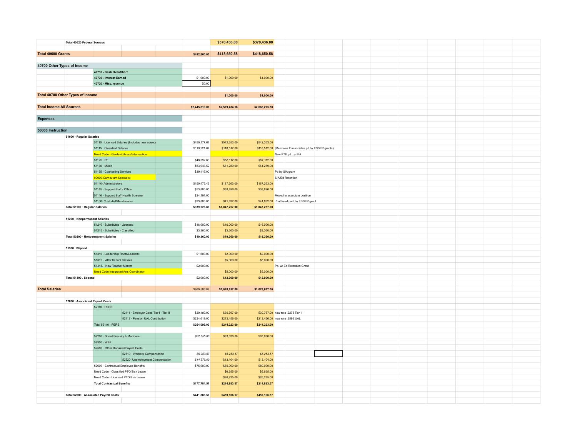|                                   | <b>Total 40620 Federal Sources</b>     |                                                 |                | \$370,436.00   | \$370,436.00                    |                 |                                                        |  |  |  |  |
|-----------------------------------|----------------------------------------|-------------------------------------------------|----------------|----------------|---------------------------------|-----------------|--------------------------------------------------------|--|--|--|--|
|                                   |                                        |                                                 |                |                |                                 |                 |                                                        |  |  |  |  |
| Total 40600 Grants                |                                        |                                                 | \$492,860.00   | \$418,650.58   | \$418,650.58                    |                 |                                                        |  |  |  |  |
|                                   |                                        |                                                 |                |                |                                 |                 |                                                        |  |  |  |  |
| 40700 Other Types of Income       |                                        |                                                 |                |                |                                 |                 |                                                        |  |  |  |  |
|                                   |                                        | 40710 - Cash Over/Short                         |                |                |                                 |                 |                                                        |  |  |  |  |
|                                   |                                        | 40730 - Interest Earned                         | \$1,000.00     | \$1,000.00     | \$1,000.00                      |                 |                                                        |  |  |  |  |
|                                   |                                        | 40720 - Misc. revenue                           |                | \$0.00         |                                 |                 |                                                        |  |  |  |  |
|                                   |                                        |                                                 |                |                |                                 |                 |                                                        |  |  |  |  |
| Total 40700 Other Types of Income |                                        |                                                 |                | \$1,000.00     | \$1,000.00                      |                 |                                                        |  |  |  |  |
|                                   |                                        |                                                 |                |                |                                 |                 |                                                        |  |  |  |  |
| <b>Total Income All Sources</b>   |                                        |                                                 | \$2,445,810.00 | \$2,579,434.58 | \$2,666,275.58                  |                 |                                                        |  |  |  |  |
|                                   |                                        |                                                 |                |                |                                 |                 |                                                        |  |  |  |  |
| <b>Expenses</b>                   |                                        |                                                 |                |                |                                 |                 |                                                        |  |  |  |  |
|                                   |                                        |                                                 |                |                |                                 |                 |                                                        |  |  |  |  |
| 50000 Instruction                 |                                        |                                                 |                |                |                                 |                 |                                                        |  |  |  |  |
|                                   | 51000 · Regular Salaries               |                                                 |                |                |                                 |                 |                                                        |  |  |  |  |
|                                   |                                        | 51110 · Licensed Salaries (Includes new science | \$450,177.67   | \$542,353.00   | \$542,353.00                    |                 |                                                        |  |  |  |  |
|                                   |                                        | 51115 · Classified Salaries                     | \$119,221.67   | \$118,512.00   |                                 |                 | \$118,512.00 (Removes 2 associates pd by ESSER grants) |  |  |  |  |
|                                   |                                        | Need Code - Garden/Library/Intervention         |                |                |                                 |                 | New FTE pd. by SIA                                     |  |  |  |  |
|                                   |                                        | $51125 \cdot PE$                                | \$48,392.60    | \$57,112.00    | \$57,112.00                     |                 |                                                        |  |  |  |  |
|                                   |                                        | 51130 · Music                                   | \$53,943.52    | \$61,289.00    | \$61,289.00                     |                 |                                                        |  |  |  |  |
|                                   |                                        | 51135 · Counseling Services                     | \$39,416.00    |                |                                 | Pd by SIA grant |                                                        |  |  |  |  |
|                                   |                                        | 00000-Curriculum Specialist                     |                |                |                                 |                 | SIA/Ed Retention                                       |  |  |  |  |
|                                   |                                        | 51140 Administrators                            | \$150,475.43   | \$187,263.00   | \$187,263.00                    |                 |                                                        |  |  |  |  |
|                                   |                                        | 51145 · Support Staff - Office                  | \$53,800.00    | \$38,896.00    | \$38,896.00                     |                 |                                                        |  |  |  |  |
|                                   |                                        | 51146 - Support Staff-Health Screener           | \$24,191.00    |                |                                 |                 | Moved to associate position                            |  |  |  |  |
|                                   |                                        | 51150 Custodial/Maintenance                     | \$23,800.00    | \$41,832.00    |                                 |                 | \$41,832.00 .5 of head paid by ESSER grant             |  |  |  |  |
|                                   | Total 51100 · Regular Salaries         |                                                 | \$939,226.89   | \$1,047,257.00 | \$1,047,257.00                  |                 |                                                        |  |  |  |  |
|                                   |                                        |                                                 |                |                |                                 |                 |                                                        |  |  |  |  |
|                                   | 51200 · Nonpermanent Salaries          |                                                 |                |                |                                 |                 |                                                        |  |  |  |  |
|                                   |                                        | 51210 · Substitutes - Licensed                  | \$16,000.00    | \$16,000.00    | \$16,000.00                     |                 |                                                        |  |  |  |  |
|                                   |                                        | 51215 · Substitutes - Classified                | \$3,360.00     | \$3,360.00     | \$3,360.00                      |                 |                                                        |  |  |  |  |
|                                   | Total 50200 · Nonpermanent Salaries    |                                                 | \$19,360.00    | \$19,360.00    | \$19,360.00                     |                 |                                                        |  |  |  |  |
|                                   |                                        |                                                 |                |                |                                 |                 |                                                        |  |  |  |  |
|                                   | 51300 Stipend                          |                                                 |                |                |                                 |                 |                                                        |  |  |  |  |
|                                   |                                        | 51310 . Leadership Roots/Leaderfit              | \$1,600.00     | \$2,000.00     | \$2,000.00                      |                 |                                                        |  |  |  |  |
|                                   |                                        | 51312 After School Classes                      |                | \$5,000.00     | \$5,000.00                      |                 |                                                        |  |  |  |  |
|                                   |                                        | 51315. New Teacher Mentor                       | \$2,000.00     |                |                                 |                 | Pd. w/ Ed Retention Grant                              |  |  |  |  |
|                                   |                                        | <b>Need Code Integrated Arts Coordinator</b>    |                | \$5,000.00     | \$5,000.00                      |                 |                                                        |  |  |  |  |
|                                   | Total 51300 . Stipend                  |                                                 | \$2,000.00     | \$12,000.00    | \$12,000.00                     |                 |                                                        |  |  |  |  |
|                                   |                                        |                                                 |                |                |                                 |                 |                                                        |  |  |  |  |
| <b>Total Salaries</b>             |                                        |                                                 | \$960,586.89   | \$1,078,617.00 | \$1,078,617.00                  |                 |                                                        |  |  |  |  |
|                                   |                                        |                                                 |                |                |                                 |                 |                                                        |  |  |  |  |
|                                   | 52000 · Associated Payroll Costs       |                                                 |                |                |                                 |                 |                                                        |  |  |  |  |
|                                   |                                        | 52110 · PERS                                    |                |                |                                 |                 |                                                        |  |  |  |  |
|                                   |                                        | 52111 · Employer Cont. Tier I - Tier II         | \$29,480.00    | \$30,767.00    |                                 |                 | \$30,767.00 new rate .2275 Tier II                     |  |  |  |  |
|                                   |                                        | 52113 · Pension UAL Contribution                | \$234,619.00   | \$213,456.00   | \$213,456.00 new rate .2586 UAL |                 |                                                        |  |  |  |  |
|                                   |                                        | Total 52110 · PERS                              | \$264,099.00   | \$244,223.00   | \$244,223.00                    |                 |                                                        |  |  |  |  |
|                                   |                                        |                                                 |                |                |                                 |                 |                                                        |  |  |  |  |
|                                   |                                        | 52200 · Social Security & Medicare              | \$82,555.00    | \$83,636.00    | \$83,636.00                     |                 |                                                        |  |  |  |  |
|                                   |                                        | 52300 · WBF                                     |                |                |                                 |                 |                                                        |  |  |  |  |
|                                   |                                        | 52500 · Other Required Payroll Costs            |                |                |                                 |                 |                                                        |  |  |  |  |
|                                   |                                        | 52510 · Workers' Compensation                   | \$5,253.57     | \$5,253.57     | \$5,253.57                      |                 |                                                        |  |  |  |  |
|                                   |                                        | 52520 Unemployment Compensation                 | \$14,976.00    | \$13,104.00    | \$13,104.00                     |                 |                                                        |  |  |  |  |
|                                   |                                        | 52600 · Contractual Employee Benefits           | \$75,000.00    | \$80,000.00    | \$80,000.00                     |                 |                                                        |  |  |  |  |
|                                   |                                        | Need Code - Classified PTO/Sick Leave           |                | \$6,655.00     | \$6,655.00                      |                 |                                                        |  |  |  |  |
|                                   |                                        | Need Code - Licensed PTO/Sick Leave             |                | \$26,235.00    | \$26,235.00                     |                 |                                                        |  |  |  |  |
|                                   |                                        | <b>Total Contractual Benefits</b>               | \$177,784.57   | \$214,883.57   | \$214,883.57                    |                 |                                                        |  |  |  |  |
|                                   |                                        |                                                 |                |                |                                 |                 |                                                        |  |  |  |  |
|                                   | Total 52000 · Associated Payroll Costs |                                                 | \$441,883.57   | \$459,106.57   | \$459,106.57                    |                 |                                                        |  |  |  |  |
|                                   |                                        |                                                 |                |                |                                 |                 |                                                        |  |  |  |  |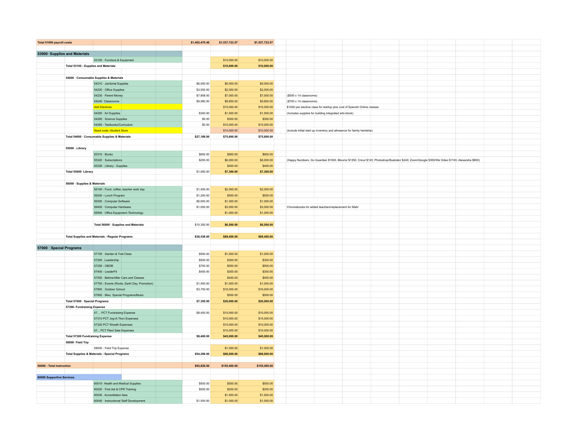| Total 51000 payroll costs    |                                                        |                                                                       |                                              | \$1,402,470.46 | \$1,537,723.57           | \$1,537,723.57           |                         |                                                        |                                                                                                                                                   |  |  |  |
|------------------------------|--------------------------------------------------------|-----------------------------------------------------------------------|----------------------------------------------|----------------|--------------------------|--------------------------|-------------------------|--------------------------------------------------------|---------------------------------------------------------------------------------------------------------------------------------------------------|--|--|--|
|                              |                                                        |                                                                       |                                              |                |                          |                          |                         |                                                        |                                                                                                                                                   |  |  |  |
| 53000 Supplies and Materials |                                                        |                                                                       |                                              |                |                          |                          |                         |                                                        |                                                                                                                                                   |  |  |  |
|                              |                                                        | 53100 · Furniture & Equipment                                         |                                              |                | \$10,000.00              | \$10,000.00              |                         |                                                        |                                                                                                                                                   |  |  |  |
|                              | Total 53100 - Supplies and Materials                   |                                                                       |                                              |                | \$10,000.00              | \$10,000.00              |                         |                                                        |                                                                                                                                                   |  |  |  |
|                              |                                                        |                                                                       |                                              |                |                          |                          |                         |                                                        |                                                                                                                                                   |  |  |  |
|                              | 54000 · Consumable Supplies & Materials                |                                                                       |                                              |                |                          |                          |                         |                                                        |                                                                                                                                                   |  |  |  |
|                              |                                                        | 54210 · Janitorial Supplies                                           |                                              | \$6,000.00     | \$5,000.00               | \$5,000.00               |                         |                                                        |                                                                                                                                                   |  |  |  |
|                              |                                                        | 54220 · Office Supplies                                               |                                              | \$3,500.00     | \$2,000.00               | \$2,000.00               |                         |                                                        |                                                                                                                                                   |  |  |  |
|                              |                                                        | 54230 · Parent Money                                                  |                                              | \$7,808.00     | \$7,000.00               | \$7,000.00               | (\$500 x 14 classrooms) |                                                        |                                                                                                                                                   |  |  |  |
|                              |                                                        | 54240 Classrooms                                                      |                                              | \$9,580.00     | \$9,800.00               | \$9,800.00               | (\$700 x 14 classrooms) |                                                        |                                                                                                                                                   |  |  |  |
|                              |                                                        | <b>Add Electives</b>                                                  |                                              |                | \$15,000.00              | \$15,000.00              |                         |                                                        | \$1000 per elective class for startup plus cost of Spanish Online classes                                                                         |  |  |  |
|                              |                                                        | 54250 · Art Supplies                                                  |                                              | \$300.00       | \$1,500.00               | \$1,500.00               |                         | (Includes supplies for building integrated arts block) |                                                                                                                                                   |  |  |  |
|                              |                                                        | 54260 · Science Supplies                                              |                                              | \$0.00         | \$300.00                 | \$300.00                 |                         |                                                        |                                                                                                                                                   |  |  |  |
|                              |                                                        | 54265 - Textbooks/Curriculum                                          |                                              | \$0.00         | \$15,000.00              | \$15,000.00              |                         |                                                        |                                                                                                                                                   |  |  |  |
|                              |                                                        | Need code--Student Store                                              |                                              |                | \$10,000.00              | \$10,000.00              |                         |                                                        | (include initial start up inventory and allowance for family hardship)                                                                            |  |  |  |
|                              | Total 54000 · Consumable Supplies & Materials          |                                                                       |                                              | \$27,188.00    | \$75,600.00              | \$75,600.00              |                         |                                                        |                                                                                                                                                   |  |  |  |
|                              |                                                        |                                                                       |                                              |                |                          |                          |                         |                                                        |                                                                                                                                                   |  |  |  |
|                              | 55000 · Library                                        |                                                                       |                                              |                |                          |                          |                         |                                                        |                                                                                                                                                   |  |  |  |
|                              |                                                        |                                                                       |                                              |                |                          |                          |                         |                                                        |                                                                                                                                                   |  |  |  |
|                              |                                                        | 55310 · Books                                                         |                                              | \$800.00       | \$900.00                 | \$900.00                 |                         |                                                        |                                                                                                                                                   |  |  |  |
|                              |                                                        | 55320 · Subscriptions                                                 |                                              | \$250.00       | \$6,000.00               | \$6,000.00               |                         |                                                        | (Happy Numbers, Go Guardian \$1500, Bloomz \$1350, Cricut \$120, Photoshop/Illustrator \$240; Zoom/Google \$350/We Video \$1100, Alexandra \$800) |  |  |  |
|                              |                                                        | 55330 · Library - Supplies                                            |                                              |                | \$400.00                 | \$400.00                 |                         |                                                        |                                                                                                                                                   |  |  |  |
|                              | Total 55000 Library                                    |                                                                       |                                              | \$1,050.00     | \$7,300.00               | \$7,300.00               |                         |                                                        |                                                                                                                                                   |  |  |  |
|                              |                                                        |                                                                       |                                              |                |                          |                          |                         |                                                        |                                                                                                                                                   |  |  |  |
|                              | 56000 · Supplies & Materials                           |                                                                       |                                              |                |                          |                          |                         |                                                        |                                                                                                                                                   |  |  |  |
|                              |                                                        | 56100 - Food, coffee, teacher work day                                |                                              | \$1,500.00     | \$2,000.00               | \$2,000.00               |                         |                                                        |                                                                                                                                                   |  |  |  |
|                              |                                                        | 56200 - Lunch Program                                                 |                                              | \$1,200.00     | \$500.00                 | \$500.00                 |                         |                                                        |                                                                                                                                                   |  |  |  |
|                              |                                                        | 56300 · Computer Software                                             |                                              | \$6,600.00     | \$1,000.00               | \$1,000.00               |                         |                                                        |                                                                                                                                                   |  |  |  |
|                              |                                                        | 56400 · Computer Hardware                                             |                                              | \$1,000.00     | \$3,000.00               | \$3,000.00               |                         | Chromebooks for added teachers/replacement for Mahr    |                                                                                                                                                   |  |  |  |
|                              |                                                        | 56500 · Office Equipment /Technology                                  |                                              |                | \$1,000.00               | \$1,000.00               |                         |                                                        |                                                                                                                                                   |  |  |  |
|                              |                                                        |                                                                       |                                              |                |                          |                          |                         |                                                        |                                                                                                                                                   |  |  |  |
|                              |                                                        | Total 56000 · Supplies and Materials                                  |                                              | \$10,300.00    | \$6,500.00               | \$6,500.00               |                         |                                                        |                                                                                                                                                   |  |  |  |
|                              |                                                        |                                                                       |                                              |                |                          |                          |                         |                                                        |                                                                                                                                                   |  |  |  |
|                              |                                                        |                                                                       |                                              |                |                          |                          |                         |                                                        |                                                                                                                                                   |  |  |  |
|                              | <b>Total Supplies and Materials - Regular Programs</b> |                                                                       |                                              | \$38,538.00    | \$89,400.00              | \$89,400.00              |                         |                                                        |                                                                                                                                                   |  |  |  |
|                              |                                                        |                                                                       |                                              |                |                          |                          |                         |                                                        |                                                                                                                                                   |  |  |  |
| 57000 · Special Programs     |                                                        |                                                                       |                                              |                |                          |                          |                         |                                                        |                                                                                                                                                   |  |  |  |
|                              |                                                        | 57100 · Garden & Trail Class                                          |                                              | \$500.00       | \$1,000.00               | \$1,000.00               |                         |                                                        |                                                                                                                                                   |  |  |  |
|                              |                                                        | 57200 . Leadership                                                    |                                              | \$500.00       | \$300.00                 | \$300.00                 |                         |                                                        |                                                                                                                                                   |  |  |  |
|                              |                                                        | 57250 - OBOB                                                          |                                              | \$700.00       | \$500.00                 | \$500.00                 |                         |                                                        |                                                                                                                                                   |  |  |  |
|                              |                                                        | 57400 - LeaderFit                                                     |                                              | \$400.00       | \$300.00                 | \$300.00                 |                         |                                                        |                                                                                                                                                   |  |  |  |
|                              |                                                        | 57500 · Before/After Care and Classes                                 |                                              |                | \$400.00                 | \$400.00                 |                         |                                                        |                                                                                                                                                   |  |  |  |
|                              |                                                        |                                                                       | 57700 - Events (Roots, Earth Day, Promotion) | \$1,500.00     | \$1,000.00               | \$1,000.00               |                         |                                                        |                                                                                                                                                   |  |  |  |
|                              |                                                        | 57800 · Outdoor School                                                |                                              | \$3,750.00     | \$16,000.00              | \$16,000.00              |                         |                                                        |                                                                                                                                                   |  |  |  |
|                              |                                                        | 57900 · Misc. Special Programs/Music                                  |                                              |                | \$500.00                 | \$500.00                 |                         |                                                        |                                                                                                                                                   |  |  |  |
|                              | Total 57000 · Special Programs                         |                                                                       |                                              | \$7,350.00     | \$20,000.00              | \$20,000.00              |                         |                                                        |                                                                                                                                                   |  |  |  |
|                              | 57300- Fundraising Expense                             |                                                                       |                                              |                |                          |                          |                         |                                                        |                                                                                                                                                   |  |  |  |
|                              |                                                        | 57 PCT Fundraising Expense                                            |                                              | \$8,400.00     | \$10,000.00              | \$10,000.00              |                         |                                                        |                                                                                                                                                   |  |  |  |
|                              |                                                        | 57310 PCT Jog-A-Thon Expenses                                         |                                              |                | \$15,000.00              | \$15,000.00              |                         |                                                        |                                                                                                                                                   |  |  |  |
|                              |                                                        | 57320 PCT Wreath Expenses                                             |                                              |                | \$10,000.00              | \$10,000.00              |                         |                                                        |                                                                                                                                                   |  |  |  |
|                              |                                                        | 57 PCT Plant Sale Expenses                                            |                                              |                | \$10,000.00              | \$10,000.00              |                         |                                                        |                                                                                                                                                   |  |  |  |
|                              | <b>Total 57300 Fundraising Expense</b>                 |                                                                       |                                              | \$8,400.00     | \$45,000.00              | \$45,000.00              |                         |                                                        |                                                                                                                                                   |  |  |  |
|                              | 58000 Field Trip                                       |                                                                       |                                              |                |                          |                          |                         |                                                        |                                                                                                                                                   |  |  |  |
|                              |                                                        | 58000 - Field Trip Expense                                            |                                              |                | \$1,000.00               | \$1,000.00               |                         |                                                        |                                                                                                                                                   |  |  |  |
|                              |                                                        |                                                                       |                                              |                |                          |                          |                         |                                                        |                                                                                                                                                   |  |  |  |
|                              | Total Supplies & Materials - Special Programs          |                                                                       |                                              | \$54,288.00    | \$66,000.00              | \$66,000.00              |                         |                                                        |                                                                                                                                                   |  |  |  |
|                              |                                                        |                                                                       |                                              |                |                          |                          |                         |                                                        |                                                                                                                                                   |  |  |  |
| 50000 - Total Instruction    |                                                        |                                                                       |                                              | \$92,826.00    | \$155,400.00             | \$155,400.00             |                         |                                                        |                                                                                                                                                   |  |  |  |
|                              |                                                        |                                                                       |                                              |                |                          |                          |                         |                                                        |                                                                                                                                                   |  |  |  |
| 60000 Supportive Services    |                                                        |                                                                       |                                              | \$500.00       |                          | \$500.00                 |                         |                                                        |                                                                                                                                                   |  |  |  |
|                              |                                                        | 60010 Health and Medical Supplies                                     |                                              |                | \$500.00                 |                          |                         |                                                        |                                                                                                                                                   |  |  |  |
|                              |                                                        | 60020 · First Aid & CPR Training                                      |                                              | \$500.00       | \$200.00                 | \$200.00                 |                         |                                                        |                                                                                                                                                   |  |  |  |
|                              |                                                        | 60030 . Accreditation fees<br>60040 · Instructional Staff Development |                                              | \$1,500.00     | \$1,500.00<br>\$1,000.00 | \$1,500.00<br>\$1,000.00 |                         |                                                        |                                                                                                                                                   |  |  |  |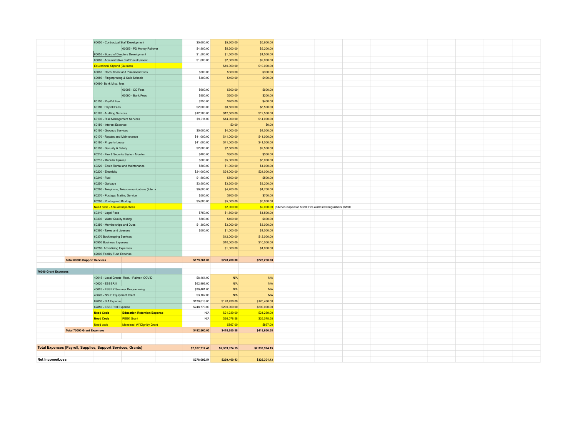|                      |                                                              | 60050 · Contractual Staff Development    |                                                |             | \$5,600.00     | \$5,600.00     | \$5,600.00     |                                                              |  |  |  |  |
|----------------------|--------------------------------------------------------------|------------------------------------------|------------------------------------------------|-------------|----------------|----------------|----------------|--------------------------------------------------------------|--|--|--|--|
|                      |                                                              |                                          |                                                |             |                |                |                |                                                              |  |  |  |  |
|                      |                                                              |                                          | 60055 - PD Money Rollover                      |             | \$4,800.00     | \$5,200.00     | \$5,200.00     |                                                              |  |  |  |  |
|                      |                                                              | 60055 - Board of Directors Development   |                                                |             | \$1,500.00     | \$1,500.00     | \$1,500.00     |                                                              |  |  |  |  |
|                      |                                                              | 60060 · Administrative Staff Development |                                                |             | \$1,000.00     | \$2,000.00     | \$2,000.00     |                                                              |  |  |  |  |
|                      |                                                              | <b>Educational Stipend (Quinlan)</b>     |                                                |             |                | \$10,000.00    | \$10,000.00    |                                                              |  |  |  |  |
|                      |                                                              |                                          | 60065 · Recruitment and Placement Svcs         |             | \$500.00       | \$300.00       | \$300.00       |                                                              |  |  |  |  |
|                      |                                                              | 60080 · Fingerprinting & Safe Schools    |                                                |             | \$400.00       | \$400.00       | \$400.00       |                                                              |  |  |  |  |
|                      |                                                              | 60090- Bank Misc. fees                   |                                                |             |                |                |                |                                                              |  |  |  |  |
|                      |                                                              |                                          | 60095 - CC Fees                                |             | \$600.00       | \$600.00       | \$600.00       |                                                              |  |  |  |  |
|                      |                                                              |                                          | 60090 - Bank Fees                              |             | \$850.00       | \$200.00       | \$200.00       |                                                              |  |  |  |  |
|                      |                                                              | 60100 · PayPal Fee                       |                                                |             |                | \$400.00       | \$400.00       |                                                              |  |  |  |  |
|                      |                                                              |                                          |                                                |             | \$750.00       |                |                |                                                              |  |  |  |  |
|                      |                                                              | 60110 · Payroll Fees                     |                                                |             | \$2,000.00     | \$8,500.00     | \$8,500.00     |                                                              |  |  |  |  |
|                      |                                                              | 60120 · Auditing Services                |                                                |             | \$12,200.00    | \$12,500.00    | \$12,500.00    |                                                              |  |  |  |  |
|                      |                                                              | 60130 - Risk Management Services         |                                                |             | \$9,911.00     | \$14,000.00    | \$14,000.00    |                                                              |  |  |  |  |
|                      |                                                              | 60150 - Interest Expense                 |                                                |             |                | \$0.00         | \$0.00         |                                                              |  |  |  |  |
|                      |                                                              | 60160 · Grounds Services                 |                                                | \$5,000.00  | \$4,000.00     | \$4,000.00     |                |                                                              |  |  |  |  |
|                      |                                                              | 60170 · Repairs and Maintenance          |                                                | \$41,000.00 | \$41,000.00    | \$41,000.00    |                |                                                              |  |  |  |  |
|                      |                                                              | 60180 · Property Lease                   |                                                |             | \$41,000.00    | \$41,000.00    | \$41,000.00    |                                                              |  |  |  |  |
|                      |                                                              | 60190 · Security & Safety                |                                                |             | \$2,000.00     | \$2,500.00     | \$2,500.00     |                                                              |  |  |  |  |
|                      |                                                              | 60210 · Fire & Security System Monitor   |                                                |             | \$400.00       |                | \$300.00       |                                                              |  |  |  |  |
|                      |                                                              | 60215 - Modular Upkeep                   |                                                |             | \$300.00       |                |                |                                                              |  |  |  |  |
|                      |                                                              |                                          |                                                | \$500.00    | \$5,000.00     | \$5,000.00     |                |                                                              |  |  |  |  |
|                      |                                                              | 60220 · Equip Rental and Maintenance     |                                                | \$500.00    | \$1,000.00     | \$1,000.00     |                |                                                              |  |  |  |  |
|                      |                                                              | 60230 · Electricity                      |                                                |             | \$24,000.00    | \$24,000.00    | \$24,000.00    |                                                              |  |  |  |  |
|                      |                                                              | 60240 · Fuel                             |                                                |             | \$1,500.00     | \$500.00       | \$500.00       |                                                              |  |  |  |  |
|                      |                                                              | 60250 · Garbage                          |                                                |             | \$3,500.00     | \$3,200.00     | \$3,200.00     |                                                              |  |  |  |  |
|                      |                                                              |                                          | 60260 · Telephone, Telecommunications (Interni |             | \$9,000.00     | \$4,700.00     | \$4,700.00     |                                                              |  |  |  |  |
|                      |                                                              |                                          |                                                |             | \$500.00       | \$700.00       | \$700.00       |                                                              |  |  |  |  |
|                      |                                                              | 60270 · Postage, Mailing Service         |                                                |             |                |                |                |                                                              |  |  |  |  |
|                      |                                                              |                                          |                                                |             | \$5,000.00     | \$5,000.00     | \$5,000.00     |                                                              |  |  |  |  |
|                      |                                                              | 60290 · Printing and Binding             |                                                |             |                |                |                |                                                              |  |  |  |  |
|                      |                                                              | Need code - Annual Inspections           |                                                |             |                | \$2,000.00     | \$2,000.00     | (Kitchen inspection \$350; Fire alarms/extenguishers \$\$890 |  |  |  |  |
|                      |                                                              | 60310 · Legal Fees                       |                                                |             | \$750.00       | \$1,500.00     | \$1,500.00     |                                                              |  |  |  |  |
|                      |                                                              | 60330 · Water Quality testing            |                                                |             | \$500.00       | \$400.00       | \$400.00       |                                                              |  |  |  |  |
|                      |                                                              | 60350 · Memberships and Dues             |                                                |             | \$1,300.00     | \$3,000.00     | \$3,000.00     |                                                              |  |  |  |  |
|                      |                                                              | 60360 · Taxes and Licenses               |                                                |             | \$500.00       | \$1,000.00     | \$1,000.00     |                                                              |  |  |  |  |
|                      |                                                              | 60370 Bookkeeping Services               |                                                |             |                | \$12,000.00    | \$12,000.00    |                                                              |  |  |  |  |
|                      |                                                              | 60900 Business Expenses                  |                                                |             |                | \$10,000.00    | \$10,000.00    |                                                              |  |  |  |  |
|                      |                                                              | 62280 Advertising Expenses               |                                                |             |                | \$1,000.00     | \$1,000.00     |                                                              |  |  |  |  |
|                      |                                                              | 62000 Facility Fund Expense              |                                                |             |                |                |                |                                                              |  |  |  |  |
|                      | <b>Total 60000 Support Services</b>                          |                                          |                                                |             | \$179,561.00   | \$228,200.00   | \$228,200.00   |                                                              |  |  |  |  |
|                      |                                                              |                                          |                                                |             |                |                |                |                                                              |  |  |  |  |
| 70000 Grant Expenses |                                                              |                                          |                                                |             |                |                |                |                                                              |  |  |  |  |
|                      |                                                              |                                          | 40615 - Local Grants- Rest. - Palmer/ COVID    |             | \$8,461.00     | N/A            | N/A            |                                                              |  |  |  |  |
|                      |                                                              | 40620 - ESSER II                         |                                                |             |                |                |                |                                                              |  |  |  |  |
|                      |                                                              |                                          |                                                |             | \$62,993.00    | N/A<br>N/A     | N/A            |                                                              |  |  |  |  |
|                      |                                                              | 40625 - ESSER Summer Programming         |                                                |             | \$39,461.00    |                | N/A            |                                                              |  |  |  |  |
|                      |                                                              | 40626 - NSLP Equipment Grant             |                                                |             | \$3,162.00     | N/A            | N/A            |                                                              |  |  |  |  |
|                      |                                                              | 62830 - SIA Expense                      |                                                |             | \$130,013.00   | \$170,436.00   | \$170,436.00   |                                                              |  |  |  |  |
|                      |                                                              | 62850 - ESSER III Expense                |                                                |             | \$248,770.00   | \$200,000.00   | \$200,000.00   |                                                              |  |  |  |  |
|                      |                                                              | <b>Need Code</b>                         | <b>Education Retention Expense</b>             |             | N/A            | \$21,239.00    | \$21,239.00    |                                                              |  |  |  |  |
|                      |                                                              | <b>Need Code</b>                         | <b>PEEK Grant</b>                              |             | N/A            | \$26,078.58    | \$26,078.58    |                                                              |  |  |  |  |
|                      |                                                              | Need code                                | <b>Menstrual W/ Dignitiy Grant</b>             |             |                | \$897.00       | \$897.00       |                                                              |  |  |  |  |
|                      | <b>Total 70000 Grant Expenses</b>                            |                                          |                                                |             | \$492,860.00   | \$418,650.58   | \$418,650.58   |                                                              |  |  |  |  |
|                      |                                                              |                                          |                                                |             |                |                |                |                                                              |  |  |  |  |
|                      |                                                              |                                          |                                                |             |                |                |                |                                                              |  |  |  |  |
|                      | Total Expenses (Payroll, Supplies, Support Services, Grants) |                                          |                                                |             | \$2,167,717.46 | \$2,339,974.15 | \$2,339,974.15 |                                                              |  |  |  |  |
|                      |                                                              |                                          |                                                |             |                |                |                |                                                              |  |  |  |  |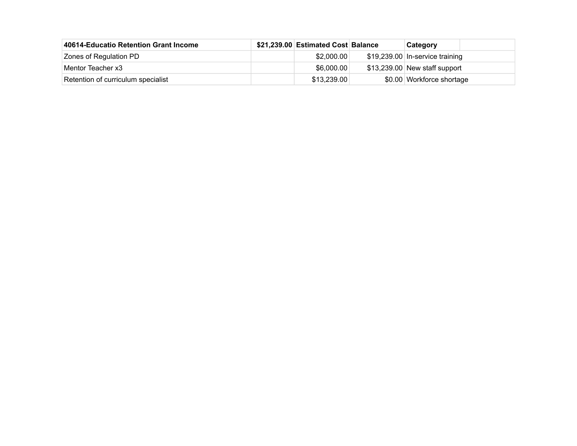| 40614-Educatio Retention Grant Income | \$21,239.00 Estimated Cost Balance | Category                         |
|---------------------------------------|------------------------------------|----------------------------------|
| Zones of Regulation PD                | \$2.000.00                         | $$19,239.00$ In-service training |
| Mentor Teacher x3                     | \$6,000.00                         | $$13,239.00$ New staff support   |
| Retention of curriculum specialist    | \$13,239.00                        | \$0.00 Workforce shortage        |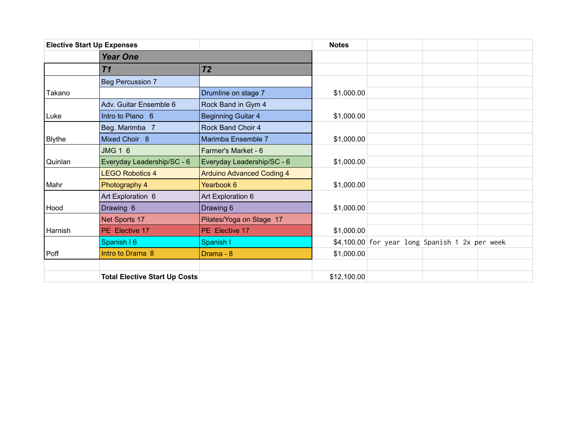|               | <b>Elective Start Up Expenses</b>    |                                  | <b>Notes</b> |                                                |  |
|---------------|--------------------------------------|----------------------------------|--------------|------------------------------------------------|--|
|               | <b>Year One</b>                      |                                  |              |                                                |  |
|               | T <sub>1</sub>                       | T <sub>2</sub>                   |              |                                                |  |
|               | <b>Beg Percussion 7</b>              |                                  |              |                                                |  |
| Takano        |                                      | Drumline on stage 7              | \$1,000.00   |                                                |  |
|               | Adv. Guitar Ensemble 6               | Rock Band in Gym 4               |              |                                                |  |
| Luke          | Intro to Piano 6                     | <b>Beginning Guitar 4</b>        | \$1,000.00   |                                                |  |
|               | Beg. Marimba 7                       | Rock Band Choir 4                |              |                                                |  |
| <b>Blythe</b> | Mixed Choir 8                        | Marimba Ensemble 7               | \$1,000.00   |                                                |  |
|               | <b>JMG 1 6</b>                       | Farmer's Market - 6              |              |                                                |  |
| Quinlan       | Everyday Leadership/SC - 6           | Everyday Leadership/SC - 6       | \$1,000.00   |                                                |  |
|               | <b>LEGO Robotics 4</b>               | <b>Arduino Advanced Coding 4</b> |              |                                                |  |
| Mahr          | Photography 4                        | Yearbook 6                       | \$1,000.00   |                                                |  |
|               | Art Exploration 6                    | Art Exploration 6                |              |                                                |  |
| Hood          | Drawing 6                            | Drawing 6                        | \$1,000.00   |                                                |  |
|               | Net Sports 17                        | Pilates/Yoga on Stage 17         |              |                                                |  |
| Harnish       | PE Elective 17                       | PE Elective 17                   | \$1,000.00   |                                                |  |
|               | Spanish I 6                          | Spanish I                        |              | \$4,100.00 for year long Spanish 1 2x per week |  |
| Poff          | Intro to Drama 8                     | Drama - 8                        | \$1,000.00   |                                                |  |
|               |                                      |                                  |              |                                                |  |
|               | <b>Total Elective Start Up Costs</b> |                                  | \$12,100.00  |                                                |  |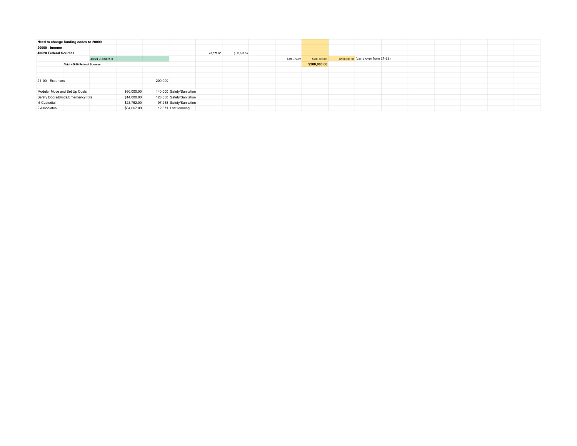|                       | Need to change funding codes to 20000 |                   |             |         |                           |           |              |              |              |                                      |  |  |  |
|-----------------------|---------------------------------------|-------------------|-------------|---------|---------------------------|-----------|--------------|--------------|--------------|--------------------------------------|--|--|--|
| 20000 - Income        |                                       |                   |             |         |                           |           |              |              |              |                                      |  |  |  |
| 40620 Federal Sources |                                       |                   |             |         |                           | 48,377.00 | \$122,917.00 |              |              |                                      |  |  |  |
|                       |                                       | 40624 - ESSER III |             |         |                           |           |              | \$248,770.00 | \$200,000.00 | \$200,000.00 (carry over from 21-22) |  |  |  |
|                       | <b>Total 40620 Federal Sources</b>    |                   |             |         |                           |           |              |              | \$200,000.00 |                                      |  |  |  |
|                       |                                       |                   |             |         |                           |           |              |              |              |                                      |  |  |  |
|                       |                                       |                   |             |         |                           |           |              |              |              |                                      |  |  |  |
| 21100 - Expenses      |                                       |                   |             | 200,000 |                           |           |              |              |              |                                      |  |  |  |
|                       |                                       |                   |             |         |                           |           |              |              |              |                                      |  |  |  |
|                       | Modular Move and Set Up Costs         |                   | \$60,000.00 |         | 140,000 Safety/Sanitation |           |              |              |              |                                      |  |  |  |
|                       | Safety Doors/Blinds/Emergency Kits    |                   | \$14,000.00 |         | 126,000 Safety/Sanitation |           |              |              |              |                                      |  |  |  |
| .5 Custodial          |                                       |                   | \$28,762.00 |         | 97,238 Safety/Sanitation  |           |              |              |              |                                      |  |  |  |
| 2 Associates          |                                       |                   | \$84,667.00 |         | 12,571 Lost learning      |           |              |              |              |                                      |  |  |  |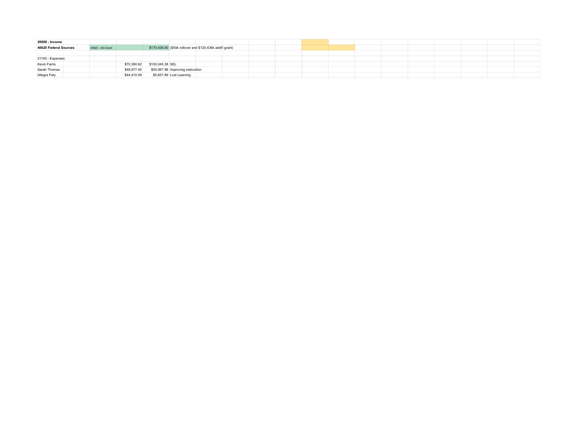| 20000 - Income        |  |                   |             |                  |                                   |                                                           |  |  |  |  |  |  |  |
|-----------------------|--|-------------------|-------------|------------------|-----------------------------------|-----------------------------------------------------------|--|--|--|--|--|--|--|
| 40620 Federal Sources |  | 40623 - SIA Grant |             |                  |                                   | \$170,436.00 (\$50k rollover and \$120,436k addt'l grant) |  |  |  |  |  |  |  |
|                       |  |                   |             |                  |                                   |                                                           |  |  |  |  |  |  |  |
| 21100 - Expenses      |  |                   |             |                  |                                   |                                                           |  |  |  |  |  |  |  |
| <b>Kevin Farris</b>   |  |                   | \$70,390.62 | \$100,045.38 SEL |                                   |                                                           |  |  |  |  |  |  |  |
| Sarah Thomas          |  |                   | \$49,977.40 |                  | \$50,067.98 Improving instruction |                                                           |  |  |  |  |  |  |  |
| Allegra Fety          |  |                   | \$44,410.09 |                  | \$5,657.89 Lost Learning          |                                                           |  |  |  |  |  |  |  |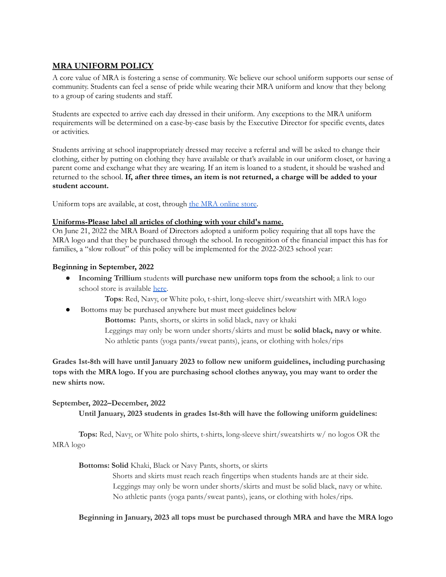### **MRA UNIFORM POLICY**

A core value of MRA is fostering a sense of community. We believe our school uniform supports our sense of community. Students can feel a sense of pride while wearing their MRA uniform and know that they belong to a group of caring students and staff.

Students are expected to arrive each day dressed in their uniform. Any exceptions to the MRA uniform requirements will be determined on a case-by-case basis by the Executive Director for specific events, dates or activities.

Students arriving at school inappropriately dressed may receive a referral and will be asked to change their clothing, either by putting on clothing they have available or that's available in our uniform closet, or having a parent come and exchange what they are wearing. If an item is loaned to a student, it should be washed and returned to the school. **If, after three times, an item is not returned, a charge will be added to your student account.**

Uniform tops are available, at cost, through the MRA [online](https://www.molallariveracademy.com/shop) store.

### **Uniforms-Please label all articles of clothing with your child's name.**

On June 21, 2022 the MRA Board of Directors adopted a uniform policy requiring that all tops have the MRA logo and that they be purchased through the school. In recognition of the financial impact this has for families, a "slow rollout" of this policy will be implemented for the 2022-2023 school year:

### **Beginning in September, 2022**

● **Incoming Trillium** students **will purchase new uniform tops from the school**; a link to our school store is available [here.](https://www.molallariveracademy.com/shop)

**Tops**: Red, Navy, or White polo, t-shirt, long-sleeve shirt/sweatshirt with MRA logo

Bottoms may be purchased anywhere but must meet guidelines below

**Bottoms:** Pants, shorts, or skirts in solid black, navy or khaki

Leggings may only be worn under shorts/skirts and must be **solid black, navy or white**. No athletic pants (yoga pants/sweat pants), jeans, or clothing with holes/rips

**Grades 1st-8th will have until January 2023 to follow new uniform guidelines, including purchasing tops with the MRA logo. If you are purchasing school clothes anyway, you may want to order the new shirts now.**

### **September, 2022–December, 2022**

**Until January, 2023 students in grades 1st-8th will have the following uniform guidelines:**

**Tops:** Red, Navy, or White polo shirts, t-shirts, long-sleeve shirt/sweatshirts w/ no logos OR the MRA logo

**Bottoms: Solid** Khaki, Black or Navy Pants, shorts, or skirts

Shorts and skirts must reach reach fingertips when students hands are at their side. Leggings may only be worn under shorts/skirts and must be solid black, navy or white. No athletic pants (yoga pants/sweat pants), jeans, or clothing with holes/rips.

**Beginning in January, 2023 all tops must be purchased through MRA and have the MRA logo**